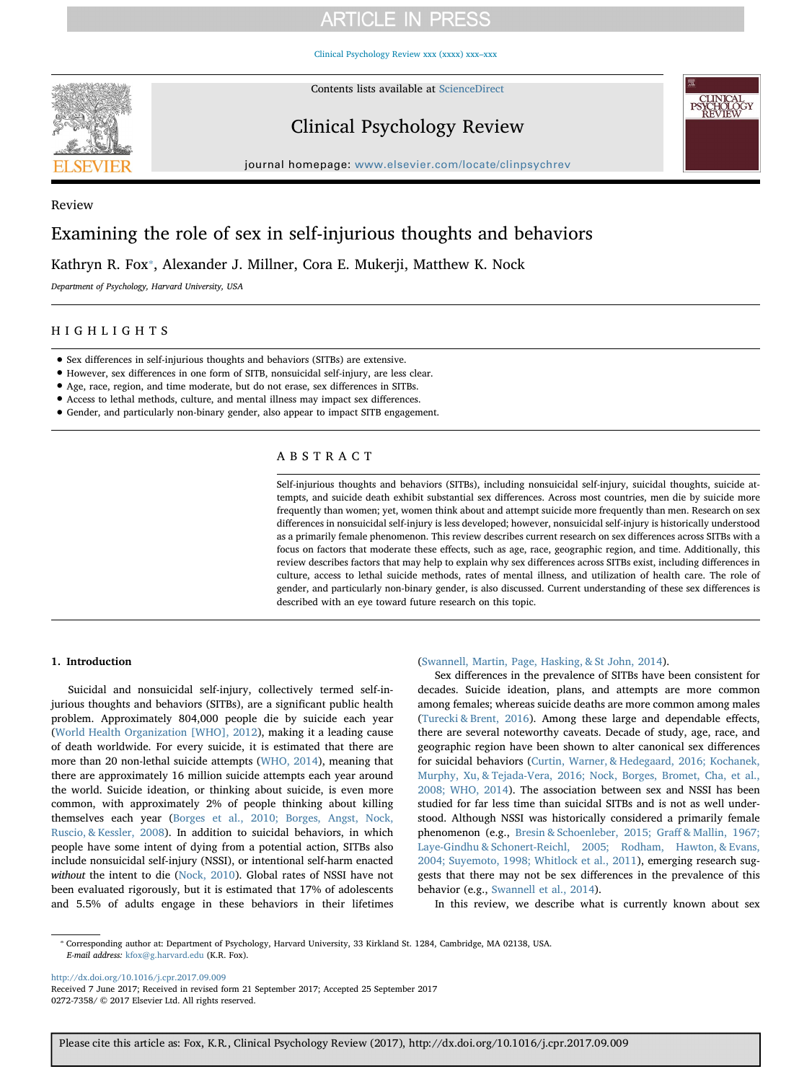# **ARTICLE IN PRESS**

[Clinical Psychology Review xxx \(xxxx\) xxx–xxx](http://dx.doi.org/10.1016/j.cpr.2017.09.009)



Contents lists available at [ScienceDirect](http://www.sciencedirect.com/science/journal/02727358)

# Clinical Psychology Review



journal homepage: [www.elsevier.com/locate/clinpsychrev](https://www.elsevier.com/locate/clinpsychrev)

Review

# Examining the role of sex in self-injurious thoughts and behaviors

Kathryn R. Fox<sup>\*</sup>, Alexander J. Millner, Cora E. Mukerji, Matthew K. Nock

Department of Psychology, Harvard University, USA

# HIGHLIGHTS

- Sex differences in self-injurious thoughts and behaviors (SITBs) are extensive.
- However, sex differences in one form of SITB, nonsuicidal self-injury, are less clear.
- Age, race, region, and time moderate, but do not erase, sex differences in SITBs.
- Access to lethal methods, culture, and mental illness may impact sex differences.
- Gender, and particularly non-binary gender, also appear to impact SITB engagement.

# ABSTRACT

Self-injurious thoughts and behaviors (SITBs), including nonsuicidal self-injury, suicidal thoughts, suicide attempts, and suicide death exhibit substantial sex differences. Across most countries, men die by suicide more frequently than women; yet, women think about and attempt suicide more frequently than men. Research on sex differences in nonsuicidal self-injury is less developed; however, nonsuicidal self-injury is historically understood as a primarily female phenomenon. This review describes current research on sex differences across SITBs with a focus on factors that moderate these effects, such as age, race, geographic region, and time. Additionally, this review describes factors that may help to explain why sex differences across SITBs exist, including differences in culture, access to lethal suicide methods, rates of mental illness, and utilization of health care. The role of gender, and particularly non-binary gender, is also discussed. Current understanding of these sex differences is described with an eye toward future research on this topic.

# 1. Introduction

Suicidal and nonsuicidal self-injury, collectively termed self-injurious thoughts and behaviors (SITBs), are a significant public health problem. Approximately 804,000 people die by suicide each year ([World Health Organization \[WHO\], 2012\)](#page-8-0), making it a leading cause of death worldwide. For every suicide, it is estimated that there are more than 20 non-lethal suicide attempts [\(WHO, 2014](#page-8-1)), meaning that there are approximately 16 million suicide attempts each year around the world. Suicide ideation, or thinking about suicide, is even more common, with approximately 2% of people thinking about killing themselves each year ([Borges et al., 2010; Borges, Angst, Nock,](#page-6-0) [Ruscio, & Kessler, 2008\)](#page-6-0). In addition to suicidal behaviors, in which people have some intent of dying from a potential action, SITBs also include nonsuicidal self-injury (NSSI), or intentional self-harm enacted without the intent to die [\(Nock, 2010\)](#page-7-0). Global rates of NSSI have not been evaluated rigorously, but it is estimated that 17% of adolescents and 5.5% of adults engage in these behaviors in their lifetimes

### ([Swannell, Martin, Page, Hasking, & St John, 2014](#page-8-2)).

Sex differences in the prevalence of SITBs have been consistent for decades. Suicide ideation, plans, and attempts are more common among females; whereas suicide deaths are more common among males ([Turecki & Brent, 2016](#page-8-3)). Among these large and dependable effects, there are several noteworthy caveats. Decade of study, age, race, and geographic region have been shown to alter canonical sex differences for suicidal behaviors ([Curtin, Warner, & Hedegaard, 2016; Kochanek,](#page-6-1) [Murphy, Xu, & Tejada-Vera, 2016; Nock, Borges, Bromet, Cha, et al.,](#page-6-1) [2008; WHO, 2014](#page-6-1)). The association between sex and NSSI has been studied for far less time than suicidal SITBs and is not as well understood. Although NSSI was historically considered a primarily female phenomenon (e.g., [Bresin & Schoenleber, 2015; Gra](#page-6-2)ff & Mallin, 1967; [Laye-Gindhu & Schonert-Reichl, 2005; Rodham, Hawton, & Evans,](#page-6-2) [2004; Suyemoto, 1998; Whitlock et al., 2011](#page-6-2)), emerging research suggests that there may not be sex differences in the prevalence of this behavior (e.g., [Swannell et al., 2014](#page-8-2)).

In this review, we describe what is currently known about sex

<http://dx.doi.org/10.1016/j.cpr.2017.09.009>

Received 7 June 2017; Received in revised form 21 September 2017; Accepted 25 September 2017 0272-7358/ © 2017 Elsevier Ltd. All rights reserved.

<span id="page-0-0"></span><sup>⁎</sup> Corresponding author at: Department of Psychology, Harvard University, 33 Kirkland St. 1284, Cambridge, MA 02138, USA. E-mail address: [kfox@g.harvard.edu](mailto:kfox@g.harvard.edu) (K.R. Fox).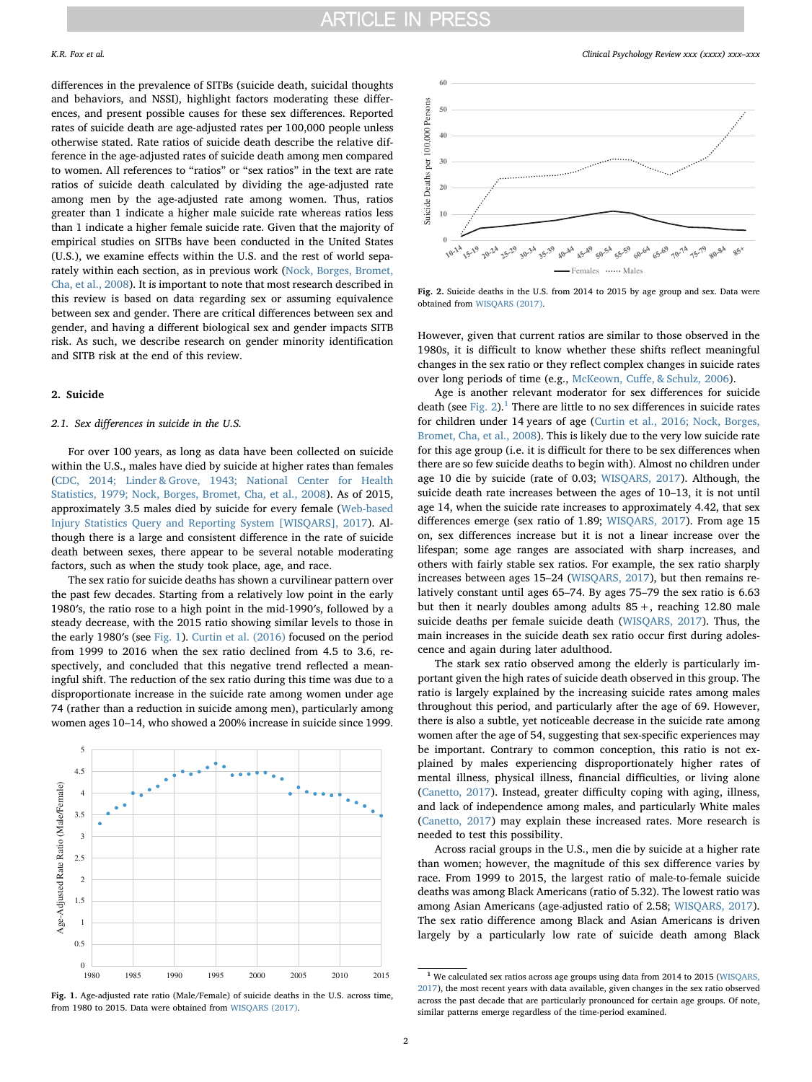differences in the prevalence of SITBs (suicide death, suicidal thoughts and behaviors, and NSSI), highlight factors moderating these differences, and present possible causes for these sex differences. Reported rates of suicide death are age-adjusted rates per 100,000 people unless otherwise stated. Rate ratios of suicide death describe the relative difference in the age-adjusted rates of suicide death among men compared to women. All references to "ratios" or "sex ratios" in the text are rate ratios of suicide death calculated by dividing the age-adjusted rate among men by the age-adjusted rate among women. Thus, ratios greater than 1 indicate a higher male suicide rate whereas ratios less than 1 indicate a higher female suicide rate. Given that the majority of empirical studies on SITBs have been conducted in the United States (U.S.), we examine effects within the U.S. and the rest of world separately within each section, as in previous work ([Nock, Borges, Bromet,](#page-7-1) [Cha, et al., 2008\)](#page-7-1). It is important to note that most research described in this review is based on data regarding sex or assuming equivalence between sex and gender. There are critical differences between sex and gender, and having a different biological sex and gender impacts SITB risk. As such, we describe research on gender minority identification and SITB risk at the end of this review.

# 2. Suicide

# 2.1. Sex differences in suicide in the U.S.

For over 100 years, as long as data have been collected on suicide within the U.S., males have died by suicide at higher rates than females ([CDC, 2014; Linder & Grove, 1943; National Center for Health](#page-6-3) [Statistics, 1979; Nock, Borges, Bromet, Cha, et al., 2008](#page-6-3)). As of 2015, approximately 3.5 males died by suicide for every female [\(Web-based](#page-6-4) [Injury Statistics Query and Reporting System \[WISQARS\], 2017\)](#page-6-4). Although there is a large and consistent difference in the rate of suicide death between sexes, there appear to be several notable moderating factors, such as when the study took place, age, and race.

The sex ratio for suicide deaths has shown a curvilinear pattern over the past few decades. Starting from a relatively low point in the early 1980′s, the ratio rose to a high point in the mid-1990′s, followed by a steady decrease, with the 2015 ratio showing similar levels to those in the early 1980′s (see [Fig. 1](#page-1-0)). [Curtin et al. \(2016\)](#page-6-1) focused on the period from 1999 to 2016 when the sex ratio declined from 4.5 to 3.6, respectively, and concluded that this negative trend reflected a meaningful shift. The reduction of the sex ratio during this time was due to a disproportionate increase in the suicide rate among women under age 74 (rather than a reduction in suicide among men), particularly among women ages 10–14, who showed a 200% increase in suicide since 1999.

<span id="page-1-0"></span>

Fig. 1. Age-adjusted rate ratio (Male/Female) of suicide deaths in the U.S. across time, from 1980 to 2015. Data were obtained from [WISQARS \(2017\)](#page-6-4).

<span id="page-1-1"></span>

Fig. 2. Suicide deaths in the U.S. from 2014 to 2015 by age group and sex. Data were obtained from [WISQARS \(2017\)](#page-6-4).

However, given that current ratios are similar to those observed in the 1980s, it is difficult to know whether these shifts reflect meaningful changes in the sex ratio or they reflect complex changes in suicide rates over long periods of time (e.g., McKeown, Cuff[e, & Schulz, 2006](#page-7-2)).

Age is another relevant moderator for sex differences for suicide death (see [Fig. 2\)](#page-1-1).<sup>[1](#page-1-2)</sup> There are little to no sex differences in suicide rates for children under 14 years of age [\(Curtin et al., 2016; Nock, Borges,](#page-6-1) [Bromet, Cha, et al., 2008\)](#page-6-1). This is likely due to the very low suicide rate for this age group (i.e. it is difficult for there to be sex differences when there are so few suicide deaths to begin with). Almost no children under age 10 die by suicide (rate of 0.03; [WISQARS, 2017](#page-6-4)). Although, the suicide death rate increases between the ages of 10–13, it is not until age 14, when the suicide rate increases to approximately 4.42, that sex differences emerge (sex ratio of 1.89; [WISQARS, 2017](#page-6-4)). From age 15 on, sex differences increase but it is not a linear increase over the lifespan; some age ranges are associated with sharp increases, and others with fairly stable sex ratios. For example, the sex ratio sharply increases between ages 15–24 [\(WISQARS, 2017\)](#page-6-4), but then remains relatively constant until ages 65–74. By ages 75–79 the sex ratio is 6.63 but then it nearly doubles among adults 85+, reaching 12.80 male suicide deaths per female suicide death ([WISQARS, 2017](#page-6-4)). Thus, the main increases in the suicide death sex ratio occur first during adolescence and again during later adulthood.

The stark sex ratio observed among the elderly is particularly important given the high rates of suicide death observed in this group. The ratio is largely explained by the increasing suicide rates among males throughout this period, and particularly after the age of 69. However, there is also a subtle, yet noticeable decrease in the suicide rate among women after the age of 54, suggesting that sex-specific experiences may be important. Contrary to common conception, this ratio is not explained by males experiencing disproportionately higher rates of mental illness, physical illness, financial difficulties, or living alone ([Canetto, 2017](#page-6-5)). Instead, greater difficulty coping with aging, illness, and lack of independence among males, and particularly White males ([Canetto, 2017\)](#page-6-5) may explain these increased rates. More research is needed to test this possibility.

Across racial groups in the U.S., men die by suicide at a higher rate than women; however, the magnitude of this sex difference varies by race. From 1999 to 2015, the largest ratio of male-to-female suicide deaths was among Black Americans (ratio of 5.32). The lowest ratio was among Asian Americans (age-adjusted ratio of 2.58; [WISQARS, 2017](#page-6-4)). The sex ratio difference among Black and Asian Americans is driven largely by a particularly low rate of suicide death among Black

<span id="page-1-2"></span> $1$  We calculated sex ratios across age groups using data from 2014 to 2015 [\(WISQARS,](#page-6-4) [2017\)](#page-6-4), the most recent years with data available, given changes in the sex ratio observed across the past decade that are particularly pronounced for certain age groups. Of note, similar patterns emerge regardless of the time-period examined.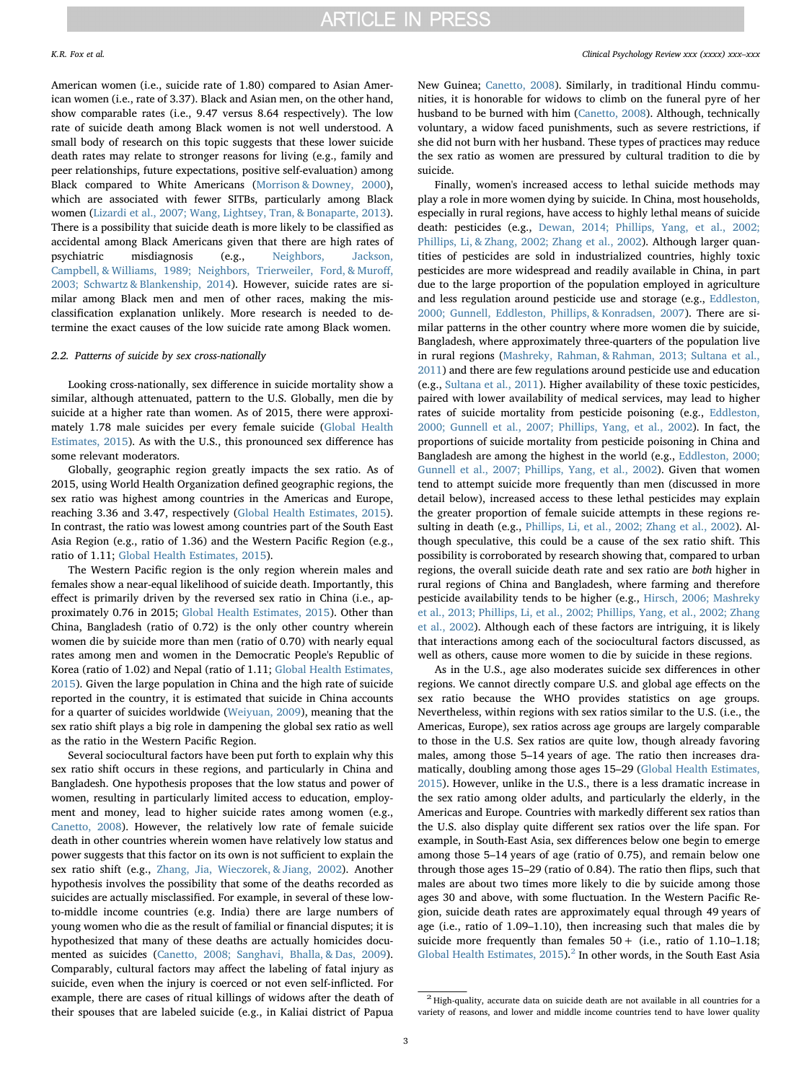American women (i.e., suicide rate of 1.80) compared to Asian American women (i.e., rate of 3.37). Black and Asian men, on the other hand, show comparable rates (i.e., 9.47 versus 8.64 respectively). The low rate of suicide death among Black women is not well understood. A small body of research on this topic suggests that these lower suicide death rates may relate to stronger reasons for living (e.g., family and peer relationships, future expectations, positive self-evaluation) among Black compared to White Americans [\(Morrison & Downey, 2000](#page-7-3)), which are associated with fewer SITBs, particularly among Black women ([Lizardi et al., 2007; Wang, Lightsey, Tran, & Bonaparte, 2013](#page-7-4)). There is a possibility that suicide death is more likely to be classified as accidental among Black Americans given that there are high rates of psychiatric misdiagnosis (e.g., [Neighbors, Jackson,](#page-7-5) [Campbell, & Williams, 1989; Neighbors, Trierweiler, Ford, & Muro](#page-7-5)ff, [2003; Schwartz & Blankenship, 2014\)](#page-7-5). However, suicide rates are similar among Black men and men of other races, making the misclassification explanation unlikely. More research is needed to determine the exact causes of the low suicide rate among Black women.

### 2.2. Patterns of suicide by sex cross-nationally

Looking cross-nationally, sex difference in suicide mortality show a similar, although attenuated, pattern to the U.S. Globally, men die by suicide at a higher rate than women. As of 2015, there were approximately 1.78 male suicides per every female suicide ([Global Health](#page-7-6) [Estimates, 2015](#page-7-6)). As with the U.S., this pronounced sex difference has some relevant moderators.

Globally, geographic region greatly impacts the sex ratio. As of 2015, using World Health Organization defined geographic regions, the sex ratio was highest among countries in the Americas and Europe, reaching 3.36 and 3.47, respectively [\(Global Health Estimates, 2015](#page-7-6)). In contrast, the ratio was lowest among countries part of the South East Asia Region (e.g., ratio of 1.36) and the Western Pacific Region (e.g., ratio of 1.11; [Global Health Estimates, 2015](#page-7-6)).

The Western Pacific region is the only region wherein males and females show a near-equal likelihood of suicide death. Importantly, this effect is primarily driven by the reversed sex ratio in China (i.e., approximately 0.76 in 2015; [Global Health Estimates, 2015](#page-7-6)). Other than China, Bangladesh (ratio of 0.72) is the only other country wherein women die by suicide more than men (ratio of 0.70) with nearly equal rates among men and women in the Democratic People's Republic of Korea (ratio of 1.02) and Nepal (ratio of 1.11; [Global Health Estimates,](#page-7-6) [2015\)](#page-7-6). Given the large population in China and the high rate of suicide reported in the country, it is estimated that suicide in China accounts for a quarter of suicides worldwide [\(Weiyuan, 2009\)](#page-8-4), meaning that the sex ratio shift plays a big role in dampening the global sex ratio as well as the ratio in the Western Pacific Region.

Several sociocultural factors have been put forth to explain why this sex ratio shift occurs in these regions, and particularly in China and Bangladesh. One hypothesis proposes that the low status and power of women, resulting in particularly limited access to education, employment and money, lead to higher suicide rates among women (e.g., [Canetto, 2008](#page-6-6)). However, the relatively low rate of female suicide death in other countries wherein women have relatively low status and power suggests that this factor on its own is not sufficient to explain the sex ratio shift (e.g., [Zhang, Jia, Wieczorek, & Jiang, 2002\)](#page-8-5). Another hypothesis involves the possibility that some of the deaths recorded as suicides are actually misclassified. For example, in several of these lowto-middle income countries (e.g. India) there are large numbers of young women who die as the result of familial or financial disputes; it is hypothesized that many of these deaths are actually homicides documented as suicides [\(Canetto, 2008; Sanghavi, Bhalla, & Das, 2009](#page-6-6)). Comparably, cultural factors may affect the labeling of fatal injury as suicide, even when the injury is coerced or not even self-inflicted. For example, there are cases of ritual killings of widows after the death of their spouses that are labeled suicide (e.g., in Kaliai district of Papua New Guinea; [Canetto, 2008](#page-6-6)). Similarly, in traditional Hindu communities, it is honorable for widows to climb on the funeral pyre of her husband to be burned with him [\(Canetto, 2008](#page-6-6)). Although, technically voluntary, a widow faced punishments, such as severe restrictions, if she did not burn with her husband. These types of practices may reduce the sex ratio as women are pressured by cultural tradition to die by suicide.

Finally, women's increased access to lethal suicide methods may play a role in more women dying by suicide. In China, most households, especially in rural regions, have access to highly lethal means of suicide death: pesticides (e.g., [Dewan, 2014; Phillips, Yang, et al., 2002;](#page-6-7) [Phillips, Li, & Zhang, 2002; Zhang et al., 2002\)](#page-6-7). Although larger quantities of pesticides are sold in industrialized countries, highly toxic pesticides are more widespread and readily available in China, in part due to the large proportion of the population employed in agriculture and less regulation around pesticide use and storage (e.g., [Eddleston,](#page-6-8) [2000; Gunnell, Eddleston, Phillips, & Konradsen, 2007](#page-6-8)). There are similar patterns in the other country where more women die by suicide, Bangladesh, where approximately three-quarters of the population live in rural regions [\(Mashreky, Rahman, & Rahman, 2013; Sultana et al.,](#page-7-7) [2011\)](#page-7-7) and there are few regulations around pesticide use and education (e.g., [Sultana et al., 2011\)](#page-7-8). Higher availability of these toxic pesticides, paired with lower availability of medical services, may lead to higher rates of suicide mortality from pesticide poisoning (e.g., [Eddleston,](#page-6-8) [2000; Gunnell et al., 2007; Phillips, Yang, et al., 2002](#page-6-8)). In fact, the proportions of suicide mortality from pesticide poisoning in China and Bangladesh are among the highest in the world (e.g., [Eddleston, 2000;](#page-6-8) [Gunnell et al., 2007; Phillips, Yang, et al., 2002](#page-6-8)). Given that women tend to attempt suicide more frequently than men (discussed in more detail below), increased access to these lethal pesticides may explain the greater proportion of female suicide attempts in these regions resulting in death (e.g., [Phillips, Li, et al., 2002; Zhang et al., 2002](#page-7-9)). Although speculative, this could be a cause of the sex ratio shift. This possibility is corroborated by research showing that, compared to urban regions, the overall suicide death rate and sex ratio are both higher in rural regions of China and Bangladesh, where farming and therefore pesticide availability tends to be higher (e.g., [Hirsch, 2006; Mashreky](#page-7-10) [et al., 2013; Phillips, Li, et al., 2002; Phillips, Yang, et al., 2002; Zhang](#page-7-10) [et al., 2002\)](#page-7-10). Although each of these factors are intriguing, it is likely that interactions among each of the sociocultural factors discussed, as well as others, cause more women to die by suicide in these regions.

As in the U.S., age also moderates suicide sex differences in other regions. We cannot directly compare U.S. and global age effects on the sex ratio because the WHO provides statistics on age groups. Nevertheless, within regions with sex ratios similar to the U.S. (i.e., the Americas, Europe), sex ratios across age groups are largely comparable to those in the U.S. Sex ratios are quite low, though already favoring males, among those 5–14 years of age. The ratio then increases dramatically, doubling among those ages 15–29 [\(Global Health Estimates,](#page-7-6) [2015\)](#page-7-6). However, unlike in the U.S., there is a less dramatic increase in the sex ratio among older adults, and particularly the elderly, in the Americas and Europe. Countries with markedly different sex ratios than the U.S. also display quite different sex ratios over the life span. For example, in South-East Asia, sex differences below one begin to emerge among those 5–14 years of age (ratio of 0.75), and remain below one through those ages 15–29 (ratio of 0.84). The ratio then flips, such that males are about two times more likely to die by suicide among those ages 30 and above, with some fluctuation. In the Western Pacific Region, suicide death rates are approximately equal through 49 years of age (i.e., ratio of 1.09–1.10), then increasing such that males die by suicide more frequently than females  $50 +$  (i.e., ratio of 1.10–1.18; Global Health Estimates,  $2015$  $2015$ .<sup>2</sup> In other words, in the South East Asia

<span id="page-2-0"></span><sup>2</sup> High-quality, accurate data on suicide death are not available in all countries for a variety of reasons, and lower and middle income countries tend to have lower quality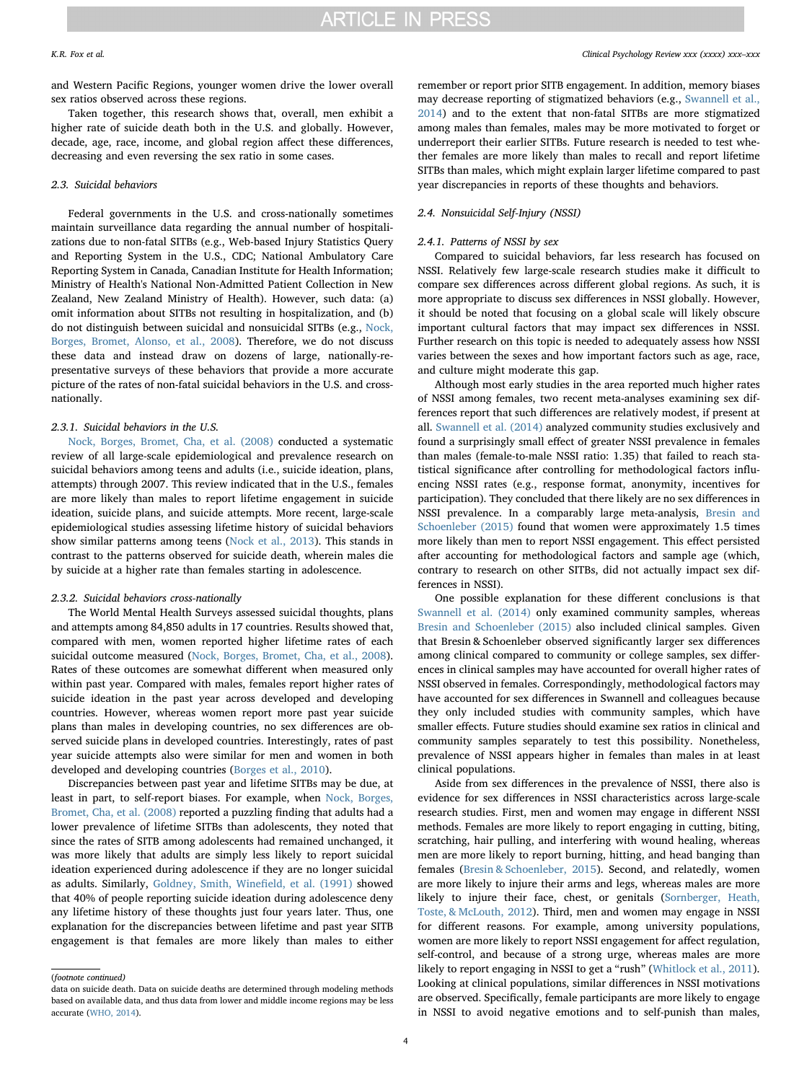and Western Pacific Regions, younger women drive the lower overall sex ratios observed across these regions.

Taken together, this research shows that, overall, men exhibit a higher rate of suicide death both in the U.S. and globally. However, decade, age, race, income, and global region affect these differences, decreasing and even reversing the sex ratio in some cases.

# 2.3. Suicidal behaviors

Federal governments in the U.S. and cross-nationally sometimes maintain surveillance data regarding the annual number of hospitalizations due to non-fatal SITBs (e.g., Web-based Injury Statistics Query and Reporting System in the U.S., CDC; National Ambulatory Care Reporting System in Canada, Canadian Institute for Health Information; Ministry of Health's National Non-Admitted Patient Collection in New Zealand, New Zealand Ministry of Health). However, such data: (a) omit information about SITBs not resulting in hospitalization, and (b) do not distinguish between suicidal and nonsuicidal SITBs (e.g., [Nock,](#page-7-11) [Borges, Bromet, Alonso, et al., 2008](#page-7-11)). Therefore, we do not discuss these data and instead draw on dozens of large, nationally-representative surveys of these behaviors that provide a more accurate picture of the rates of non-fatal suicidal behaviors in the U.S. and crossnationally.

# 2.3.1. Suicidal behaviors in the U.S.

[Nock, Borges, Bromet, Cha, et al. \(2008\)](#page-7-1) conducted a systematic review of all large-scale epidemiological and prevalence research on suicidal behaviors among teens and adults (i.e., suicide ideation, plans, attempts) through 2007. This review indicated that in the U.S., females are more likely than males to report lifetime engagement in suicide ideation, suicide plans, and suicide attempts. More recent, large-scale epidemiological studies assessing lifetime history of suicidal behaviors show similar patterns among teens [\(Nock et al., 2013\)](#page-7-12). This stands in contrast to the patterns observed for suicide death, wherein males die by suicide at a higher rate than females starting in adolescence.

# 2.3.2. Suicidal behaviors cross-nationally

The World Mental Health Surveys assessed suicidal thoughts, plans and attempts among 84,850 adults in 17 countries. Results showed that, compared with men, women reported higher lifetime rates of each suicidal outcome measured ([Nock, Borges, Bromet, Cha, et al., 2008](#page-7-1)). Rates of these outcomes are somewhat different when measured only within past year. Compared with males, females report higher rates of suicide ideation in the past year across developed and developing countries. However, whereas women report more past year suicide plans than males in developing countries, no sex differences are observed suicide plans in developed countries. Interestingly, rates of past year suicide attempts also were similar for men and women in both developed and developing countries ([Borges et al., 2010\)](#page-6-0).

Discrepancies between past year and lifetime SITBs may be due, at least in part, to self-report biases. For example, when [Nock, Borges,](#page-7-1) [Bromet, Cha, et al. \(2008\)](#page-7-1) reported a puzzling finding that adults had a lower prevalence of lifetime SITBs than adolescents, they noted that since the rates of SITB among adolescents had remained unchanged, it was more likely that adults are simply less likely to report suicidal ideation experienced during adolescence if they are no longer suicidal as adults. Similarly, [Goldney, Smith, Wine](#page-7-13)field, et al. (1991) showed that 40% of people reporting suicide ideation during adolescence deny any lifetime history of these thoughts just four years later. Thus, one explanation for the discrepancies between lifetime and past year SITB engagement is that females are more likely than males to either

remember or report prior SITB engagement. In addition, memory biases may decrease reporting of stigmatized behaviors (e.g., [Swannell et al.,](#page-8-2) [2014\)](#page-8-2) and to the extent that non-fatal SITBs are more stigmatized among males than females, males may be more motivated to forget or underreport their earlier SITBs. Future research is needed to test whether females are more likely than males to recall and report lifetime SITBs than males, which might explain larger lifetime compared to past year discrepancies in reports of these thoughts and behaviors.

# 2.4. Nonsuicidal Self-Injury (NSSI)

# 2.4.1. Patterns of NSSI by sex

Compared to suicidal behaviors, far less research has focused on NSSI. Relatively few large-scale research studies make it difficult to compare sex differences across different global regions. As such, it is more appropriate to discuss sex differences in NSSI globally. However, it should be noted that focusing on a global scale will likely obscure important cultural factors that may impact sex differences in NSSI. Further research on this topic is needed to adequately assess how NSSI varies between the sexes and how important factors such as age, race, and culture might moderate this gap.

Although most early studies in the area reported much higher rates of NSSI among females, two recent meta-analyses examining sex differences report that such differences are relatively modest, if present at all. [Swannell et al. \(2014\)](#page-8-2) analyzed community studies exclusively and found a surprisingly small effect of greater NSSI prevalence in females than males (female-to-male NSSI ratio: 1.35) that failed to reach statistical significance after controlling for methodological factors influencing NSSI rates (e.g., response format, anonymity, incentives for participation). They concluded that there likely are no sex differences in NSSI prevalence. In a comparably large meta-analysis, [Bresin and](#page-6-2) [Schoenleber \(2015\)](#page-6-2) found that women were approximately 1.5 times more likely than men to report NSSI engagement. This effect persisted after accounting for methodological factors and sample age (which, contrary to research on other SITBs, did not actually impact sex differences in NSSI).

One possible explanation for these different conclusions is that [Swannell et al. \(2014\)](#page-8-2) only examined community samples, whereas [Bresin and Schoenleber \(2015\)](#page-6-2) also included clinical samples. Given that Bresin & Schoenleber observed significantly larger sex differences among clinical compared to community or college samples, sex differences in clinical samples may have accounted for overall higher rates of NSSI observed in females. Correspondingly, methodological factors may have accounted for sex differences in Swannell and colleagues because they only included studies with community samples, which have smaller effects. Future studies should examine sex ratios in clinical and community samples separately to test this possibility. Nonetheless, prevalence of NSSI appears higher in females than males in at least clinical populations.

Aside from sex differences in the prevalence of NSSI, there also is evidence for sex differences in NSSI characteristics across large-scale research studies. First, men and women may engage in different NSSI methods. Females are more likely to report engaging in cutting, biting, scratching, hair pulling, and interfering with wound healing, whereas men are more likely to report burning, hitting, and head banging than females [\(Bresin & Schoenleber, 2015\)](#page-6-2). Second, and relatedly, women are more likely to injure their arms and legs, whereas males are more likely to injure their face, chest, or genitals ([Sornberger, Heath,](#page-7-14) [Toste, & McLouth, 2012\)](#page-7-14). Third, men and women may engage in NSSI for different reasons. For example, among university populations, women are more likely to report NSSI engagement for affect regulation, self-control, and because of a strong urge, whereas males are more likely to report engaging in NSSI to get a "rush" ([Whitlock et al., 2011](#page-8-6)). Looking at clinical populations, similar differences in NSSI motivations are observed. Specifically, female participants are more likely to engage in NSSI to avoid negative emotions and to self-punish than males,

<sup>(</sup>footnote continued)

data on suicide death. Data on suicide deaths are determined through modeling methods based on available data, and thus data from lower and middle income regions may be less accurate ([WHO, 2014\)](#page-8-1).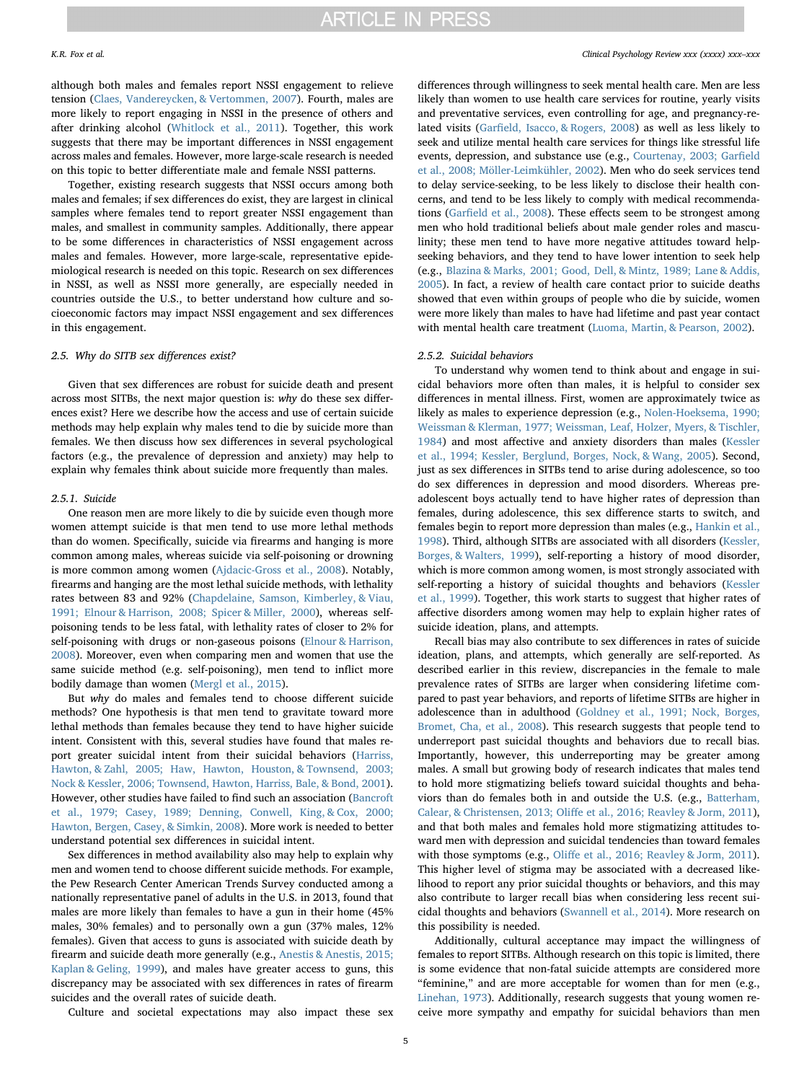although both males and females report NSSI engagement to relieve tension ([Claes, Vandereycken, & Vertommen, 2007\)](#page-6-9). Fourth, males are more likely to report engaging in NSSI in the presence of others and after drinking alcohol ([Whitlock et al., 2011\)](#page-8-6). Together, this work suggests that there may be important differences in NSSI engagement across males and females. However, more large-scale research is needed on this topic to better differentiate male and female NSSI patterns.

Together, existing research suggests that NSSI occurs among both males and females; if sex differences do exist, they are largest in clinical samples where females tend to report greater NSSI engagement than males, and smallest in community samples. Additionally, there appear to be some differences in characteristics of NSSI engagement across males and females. However, more large-scale, representative epidemiological research is needed on this topic. Research on sex differences in NSSI, as well as NSSI more generally, are especially needed in countries outside the U.S., to better understand how culture and socioeconomic factors may impact NSSI engagement and sex differences in this engagement.

### 2.5. Why do SITB sex differences exist?

Given that sex differences are robust for suicide death and present across most SITBs, the next major question is: why do these sex differences exist? Here we describe how the access and use of certain suicide methods may help explain why males tend to die by suicide more than females. We then discuss how sex differences in several psychological factors (e.g., the prevalence of depression and anxiety) may help to explain why females think about suicide more frequently than males.

#### 2.5.1. Suicide

One reason men are more likely to die by suicide even though more women attempt suicide is that men tend to use more lethal methods than do women. Specifically, suicide via firearms and hanging is more common among males, whereas suicide via self-poisoning or drowning is more common among women ([Ajdacic-Gross et al., 2008\)](#page-6-10). Notably, firearms and hanging are the most lethal suicide methods, with lethality rates between 83 and 92% [\(Chapdelaine, Samson, Kimberley, & Viau,](#page-6-11) [1991; Elnour & Harrison, 2008; Spicer & Miller, 2000\)](#page-6-11), whereas selfpoisoning tends to be less fatal, with lethality rates of closer to 2% for self-poisoning with drugs or non-gaseous poisons ([Elnour & Harrison,](#page-6-12) [2008\)](#page-6-12). Moreover, even when comparing men and women that use the same suicide method (e.g. self-poisoning), men tend to inflict more bodily damage than women ([Mergl et al., 2015\)](#page-7-15).

But why do males and females tend to choose different suicide methods? One hypothesis is that men tend to gravitate toward more lethal methods than females because they tend to have higher suicide intent. Consistent with this, several studies have found that males report greater suicidal intent from their suicidal behaviors [\(Harriss,](#page-7-16) [Hawton, & Zahl, 2005; Haw, Hawton, Houston, & Townsend, 2003;](#page-7-16) [Nock & Kessler, 2006; Townsend, Hawton, Harriss, Bale, & Bond, 2001](#page-7-16)). However, other studies have failed to find such an association ([Bancroft](#page-6-13) [et al., 1979; Casey, 1989; Denning, Conwell, King, & Cox, 2000;](#page-6-13) [Hawton, Bergen, Casey, & Simkin, 2008](#page-6-13)). More work is needed to better understand potential sex differences in suicidal intent.

Sex differences in method availability also may help to explain why men and women tend to choose different suicide methods. For example, the Pew Research Center American Trends Survey conducted among a nationally representative panel of adults in the U.S. in 2013, found that males are more likely than females to have a gun in their home (45% males, 30% females) and to personally own a gun (37% males, 12% females). Given that access to guns is associated with suicide death by firearm and suicide death more generally (e.g., [Anestis & Anestis, 2015;](#page-6-14) [Kaplan & Geling, 1999\)](#page-6-14), and males have greater access to guns, this discrepancy may be associated with sex differences in rates of firearm suicides and the overall rates of suicide death.

Culture and societal expectations may also impact these sex

differences through willingness to seek mental health care. Men are less likely than women to use health care services for routine, yearly visits and preventative services, even controlling for age, and pregnancy-related visits (Garfi[eld, Isacco, & Rogers, 2008](#page-7-17)) as well as less likely to seek and utilize mental health care services for things like stressful life events, depression, and substance use (e.g., [Courtenay, 2003; Gar](#page-6-15)field [et al., 2008; Möller-Leimkühler, 2002\)](#page-6-15). Men who do seek services tend to delay service-seeking, to be less likely to disclose their health concerns, and tend to be less likely to comply with medical recommendations (Garfi[eld et al., 2008\)](#page-7-17). These effects seem to be strongest among men who hold traditional beliefs about male gender roles and masculinity; these men tend to have more negative attitudes toward helpseeking behaviors, and they tend to have lower intention to seek help (e.g., [Blazina & Marks, 2001; Good, Dell, & Mintz, 1989; Lane & Addis,](#page-6-16) [2005\)](#page-6-16). In fact, a review of health care contact prior to suicide deaths showed that even within groups of people who die by suicide, women were more likely than males to have had lifetime and past year contact with mental health care treatment ([Luoma, Martin, & Pearson, 2002\)](#page-7-18).

#### 2.5.2. Suicidal behaviors

To understand why women tend to think about and engage in suicidal behaviors more often than males, it is helpful to consider sex differences in mental illness. First, women are approximately twice as likely as males to experience depression (e.g., [Nolen-Hoeksema, 1990;](#page-7-19) [Weissman & Klerman, 1977; Weissman, Leaf, Holzer, Myers, & Tischler,](#page-7-19) [1984\)](#page-7-19) and most affective and anxiety disorders than males ([Kessler](#page-7-20) [et al., 1994; Kessler, Berglund, Borges, Nock, & Wang, 2005](#page-7-20)). Second, just as sex differences in SITBs tend to arise during adolescence, so too do sex differences in depression and mood disorders. Whereas preadolescent boys actually tend to have higher rates of depression than females, during adolescence, this sex difference starts to switch, and females begin to report more depression than males (e.g., [Hankin et al.,](#page-7-21) [1998\)](#page-7-21). Third, although SITBs are associated with all disorders ([Kessler,](#page-7-22) [Borges, & Walters, 1999](#page-7-22)), self-reporting a history of mood disorder, which is more common among women, is most strongly associated with self-reporting a history of suicidal thoughts and behaviors ([Kessler](#page-7-22) [et al., 1999\)](#page-7-22). Together, this work starts to suggest that higher rates of affective disorders among women may help to explain higher rates of suicide ideation, plans, and attempts.

Recall bias may also contribute to sex differences in rates of suicide ideation, plans, and attempts, which generally are self-reported. As described earlier in this review, discrepancies in the female to male prevalence rates of SITBs are larger when considering lifetime compared to past year behaviors, and reports of lifetime SITBs are higher in adolescence than in adulthood ([Goldney et al., 1991; Nock, Borges,](#page-7-13) [Bromet, Cha, et al., 2008\)](#page-7-13). This research suggests that people tend to underreport past suicidal thoughts and behaviors due to recall bias. Importantly, however, this underreporting may be greater among males. A small but growing body of research indicates that males tend to hold more stigmatizing beliefs toward suicidal thoughts and behaviors than do females both in and outside the U.S. (e.g., [Batterham,](#page-6-17) Calear, & Christensen, 2013; Oliff[e et al., 2016; Reavley & Jorm, 2011](#page-6-17)), and that both males and females hold more stigmatizing attitudes toward men with depression and suicidal tendencies than toward females with those symptoms (e.g., Oliff[e et al., 2016; Reavley & Jorm, 2011](#page-7-23)). This higher level of stigma may be associated with a decreased likelihood to report any prior suicidal thoughts or behaviors, and this may also contribute to larger recall bias when considering less recent suicidal thoughts and behaviors [\(Swannell et al., 2014\)](#page-8-2). More research on this possibility is needed.

Additionally, cultural acceptance may impact the willingness of females to report SITBs. Although research on this topic is limited, there is some evidence that non-fatal suicide attempts are considered more "feminine," and are more acceptable for women than for men (e.g., [Linehan, 1973\)](#page-7-24). Additionally, research suggests that young women receive more sympathy and empathy for suicidal behaviors than men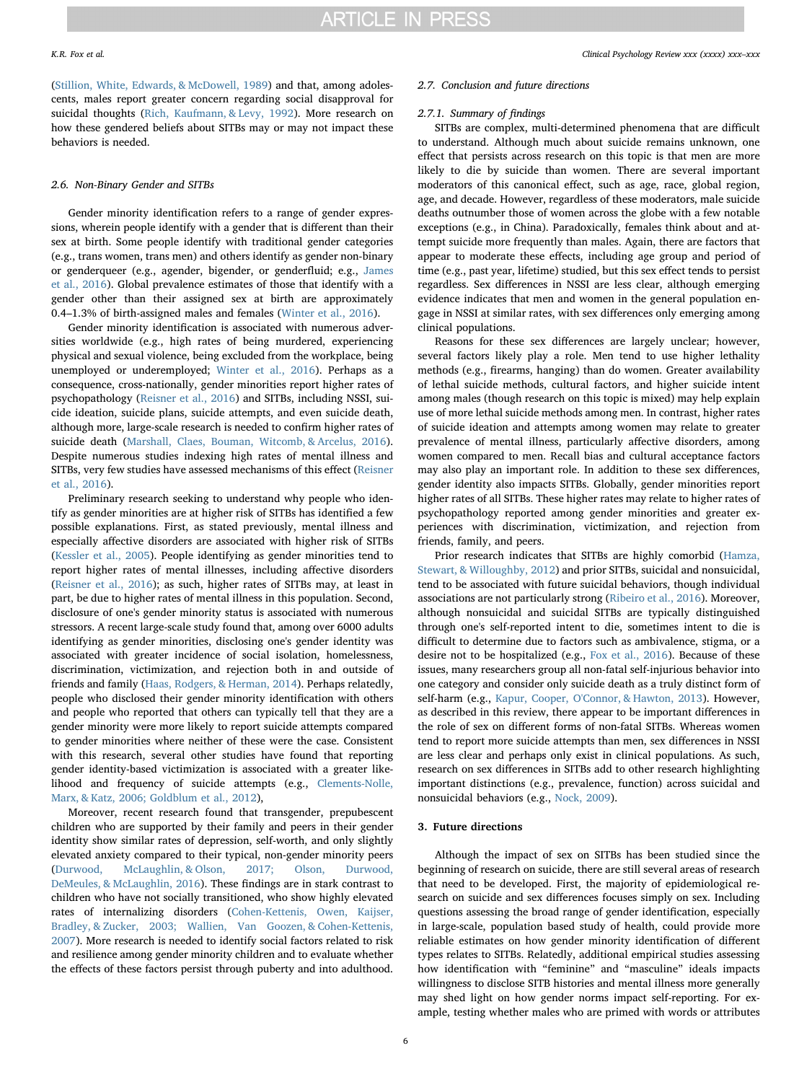([Stillion, White, Edwards, & McDowell, 1989](#page-7-25)) and that, among adolescents, males report greater concern regarding social disapproval for suicidal thoughts [\(Rich, Kaufmann, & Levy, 1992](#page-7-26)). More research on how these gendered beliefs about SITBs may or may not impact these behaviors is needed.

# 2.6. Non-Binary Gender and SITBs

Gender minority identification refers to a range of gender expressions, wherein people identify with a gender that is different than their sex at birth. Some people identify with traditional gender categories (e.g., trans women, trans men) and others identify as gender non-binary or genderqueer (e.g., agender, bigender, or genderfluid; e.g., [James](#page-7-27) [et al., 2016](#page-7-27)). Global prevalence estimates of those that identify with a gender other than their assigned sex at birth are approximately 0.4–1.3% of birth-assigned males and females ([Winter et al., 2016](#page-8-7)).

Gender minority identification is associated with numerous adversities worldwide (e.g., high rates of being murdered, experiencing physical and sexual violence, being excluded from the workplace, being unemployed or underemployed; [Winter et al., 2016](#page-8-7)). Perhaps as a consequence, cross-nationally, gender minorities report higher rates of psychopathology ([Reisner et al., 2016\)](#page-7-28) and SITBs, including NSSI, suicide ideation, suicide plans, suicide attempts, and even suicide death, although more, large-scale research is needed to confirm higher rates of suicide death [\(Marshall, Claes, Bouman, Witcomb, & Arcelus, 2016](#page-7-29)). Despite numerous studies indexing high rates of mental illness and SITBs, very few studies have assessed mechanisms of this effect [\(Reisner](#page-7-28) [et al., 2016](#page-7-28)).

Preliminary research seeking to understand why people who identify as gender minorities are at higher risk of SITBs has identified a few possible explanations. First, as stated previously, mental illness and especially affective disorders are associated with higher risk of SITBs ([Kessler et al., 2005](#page-7-30)). People identifying as gender minorities tend to report higher rates of mental illnesses, including affective disorders ([Reisner et al., 2016](#page-7-28)); as such, higher rates of SITBs may, at least in part, be due to higher rates of mental illness in this population. Second, disclosure of one's gender minority status is associated with numerous stressors. A recent large-scale study found that, among over 6000 adults identifying as gender minorities, disclosing one's gender identity was associated with greater incidence of social isolation, homelessness, discrimination, victimization, and rejection both in and outside of friends and family ([Haas, Rodgers, & Herman, 2014\)](#page-7-31). Perhaps relatedly, people who disclosed their gender minority identification with others and people who reported that others can typically tell that they are a gender minority were more likely to report suicide attempts compared to gender minorities where neither of these were the case. Consistent with this research, several other studies have found that reporting gender identity-based victimization is associated with a greater likelihood and frequency of suicide attempts (e.g., [Clements-Nolle,](#page-6-18) [Marx, & Katz, 2006; Goldblum et al., 2012](#page-6-18)),

Moreover, recent research found that transgender, prepubescent children who are supported by their family and peers in their gender identity show similar rates of depression, self-worth, and only slightly elevated anxiety compared to their typical, non-gender minority peers ([Durwood, McLaughlin, & Olson, 2017; Olson, Durwood,](#page-6-19) [DeMeules, & McLaughlin, 2016](#page-6-19)). These findings are in stark contrast to children who have not socially transitioned, who show highly elevated rates of internalizing disorders ([Cohen-Kettenis, Owen, Kaijser,](#page-6-20) [Bradley, & Zucker, 2003; Wallien, Van Goozen, & Cohen-Kettenis,](#page-6-20) [2007\)](#page-6-20). More research is needed to identify social factors related to risk and resilience among gender minority children and to evaluate whether the effects of these factors persist through puberty and into adulthood.

#### 2.7. Conclusion and future directions

# 2.7.1. Summary of findings

SITBs are complex, multi-determined phenomena that are difficult to understand. Although much about suicide remains unknown, one effect that persists across research on this topic is that men are more likely to die by suicide than women. There are several important moderators of this canonical effect, such as age, race, global region, age, and decade. However, regardless of these moderators, male suicide deaths outnumber those of women across the globe with a few notable exceptions (e.g., in China). Paradoxically, females think about and attempt suicide more frequently than males. Again, there are factors that appear to moderate these effects, including age group and period of time (e.g., past year, lifetime) studied, but this sex effect tends to persist regardless. Sex differences in NSSI are less clear, although emerging evidence indicates that men and women in the general population engage in NSSI at similar rates, with sex differences only emerging among clinical populations.

Reasons for these sex differences are largely unclear; however, several factors likely play a role. Men tend to use higher lethality methods (e.g., firearms, hanging) than do women. Greater availability of lethal suicide methods, cultural factors, and higher suicide intent among males (though research on this topic is mixed) may help explain use of more lethal suicide methods among men. In contrast, higher rates of suicide ideation and attempts among women may relate to greater prevalence of mental illness, particularly affective disorders, among women compared to men. Recall bias and cultural acceptance factors may also play an important role. In addition to these sex differences, gender identity also impacts SITBs. Globally, gender minorities report higher rates of all SITBs. These higher rates may relate to higher rates of psychopathology reported among gender minorities and greater experiences with discrimination, victimization, and rejection from friends, family, and peers.

Prior research indicates that SITBs are highly comorbid ([Hamza,](#page-7-32) [Stewart, & Willoughby, 2012](#page-7-32)) and prior SITBs, suicidal and nonsuicidal, tend to be associated with future suicidal behaviors, though individual associations are not particularly strong [\(Ribeiro et al., 2016](#page-7-33)). Moreover, although nonsuicidal and suicidal SITBs are typically distinguished through one's self-reported intent to die, sometimes intent to die is difficult to determine due to factors such as ambivalence, stigma, or a desire not to be hospitalized (e.g., [Fox et al., 2016](#page-7-34)). Because of these issues, many researchers group all non-fatal self-injurious behavior into one category and consider only suicide death as a truly distinct form of self-harm (e.g., [Kapur, Cooper, O'Connor, & Hawton, 2013\)](#page-7-35). However, as described in this review, there appear to be important differences in the role of sex on different forms of non-fatal SITBs. Whereas women tend to report more suicide attempts than men, sex differences in NSSI are less clear and perhaps only exist in clinical populations. As such, research on sex differences in SITBs add to other research highlighting important distinctions (e.g., prevalence, function) across suicidal and nonsuicidal behaviors (e.g., [Nock, 2009\)](#page-7-36).

# 3. Future directions

Although the impact of sex on SITBs has been studied since the beginning of research on suicide, there are still several areas of research that need to be developed. First, the majority of epidemiological research on suicide and sex differences focuses simply on sex. Including questions assessing the broad range of gender identification, especially in large-scale, population based study of health, could provide more reliable estimates on how gender minority identification of different types relates to SITBs. Relatedly, additional empirical studies assessing how identification with "feminine" and "masculine" ideals impacts willingness to disclose SITB histories and mental illness more generally may shed light on how gender norms impact self-reporting. For example, testing whether males who are primed with words or attributes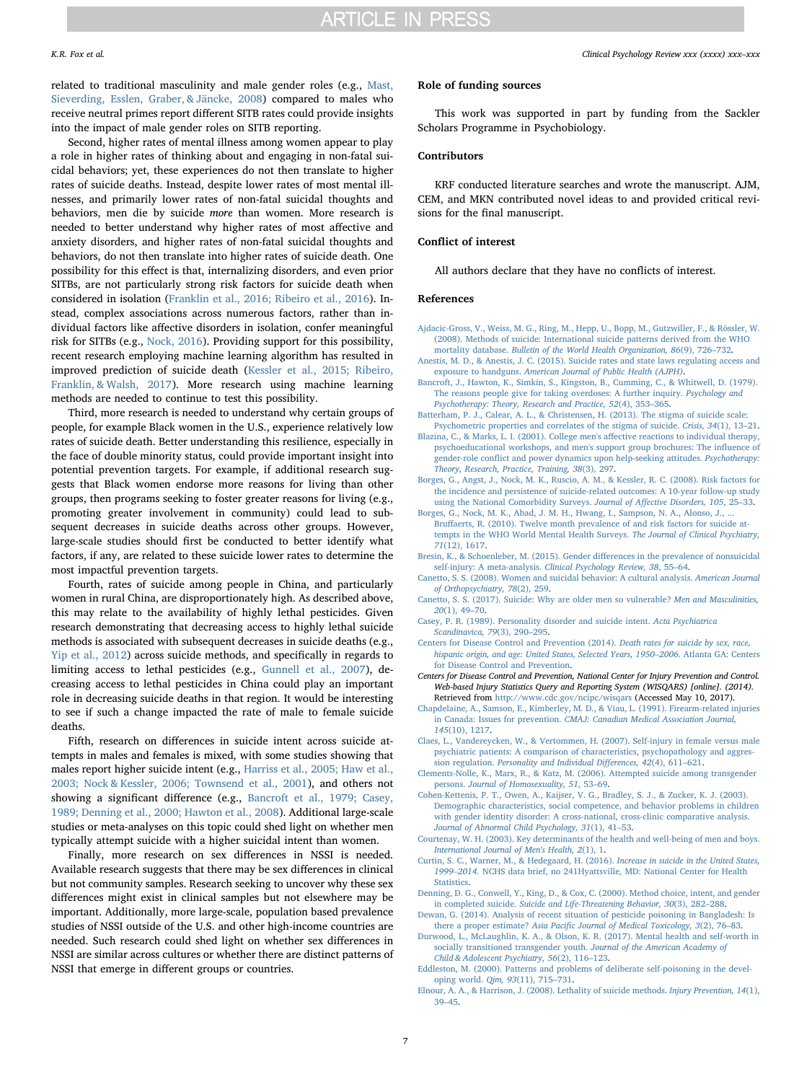related to traditional masculinity and male gender roles (e.g., [Mast,](#page-7-37) [Sieverding, Esslen, Graber, & Jäncke, 2008\)](#page-7-37) compared to males who receive neutral primes report different SITB rates could provide insights into the impact of male gender roles on SITB reporting.

Second, higher rates of mental illness among women appear to play a role in higher rates of thinking about and engaging in non-fatal suicidal behaviors; yet, these experiences do not then translate to higher rates of suicide deaths. Instead, despite lower rates of most mental illnesses, and primarily lower rates of non-fatal suicidal thoughts and behaviors, men die by suicide more than women. More research is needed to better understand why higher rates of most affective and anxiety disorders, and higher rates of non-fatal suicidal thoughts and behaviors, do not then translate into higher rates of suicide death. One possibility for this effect is that, internalizing disorders, and even prior SITBs, are not particularly strong risk factors for suicide death when considered in isolation ([Franklin et al., 2016; Ribeiro et al., 2016](#page-7-38)). Instead, complex associations across numerous factors, rather than individual factors like affective disorders in isolation, confer meaningful risk for SITBs (e.g., [Nock, 2016\)](#page-7-39). Providing support for this possibility, recent research employing machine learning algorithm has resulted in improved prediction of suicide death [\(Kessler et al., 2015; Ribeiro,](#page-7-40) [Franklin, & Walsh, 2017](#page-7-40)). More research using machine learning methods are needed to continue to test this possibility.

Third, more research is needed to understand why certain groups of people, for example Black women in the U.S., experience relatively low rates of suicide death. Better understanding this resilience, especially in the face of double minority status, could provide important insight into potential prevention targets. For example, if additional research suggests that Black women endorse more reasons for living than other groups, then programs seeking to foster greater reasons for living (e.g., promoting greater involvement in community) could lead to subsequent decreases in suicide deaths across other groups. However, large-scale studies should first be conducted to better identify what factors, if any, are related to these suicide lower rates to determine the most impactful prevention targets.

Fourth, rates of suicide among people in China, and particularly women in rural China, are disproportionately high. As described above, this may relate to the availability of highly lethal pesticides. Given research demonstrating that decreasing access to highly lethal suicide methods is associated with subsequent decreases in suicide deaths (e.g., [Yip et al., 2012](#page-8-8)) across suicide methods, and specifically in regards to limiting access to lethal pesticides (e.g., [Gunnell et al., 2007](#page-7-41)), decreasing access to lethal pesticides in China could play an important role in decreasing suicide deaths in that region. It would be interesting to see if such a change impacted the rate of male to female suicide deaths.

Fifth, research on differences in suicide intent across suicide attempts in males and females is mixed, with some studies showing that males report higher suicide intent (e.g., [Harriss et al., 2005; Haw et al.,](#page-7-16) [2003; Nock & Kessler, 2006; Townsend et al., 2001\)](#page-7-16), and others not showing a significant difference (e.g., [Bancroft et al., 1979; Casey,](#page-6-13) [1989; Denning et al., 2000; Hawton et al., 2008\)](#page-6-13). Additional large-scale studies or meta-analyses on this topic could shed light on whether men typically attempt suicide with a higher suicidal intent than women.

Finally, more research on sex differences in NSSI is needed. Available research suggests that there may be sex differences in clinical but not community samples. Research seeking to uncover why these sex differences might exist in clinical samples but not elsewhere may be important. Additionally, more large-scale, population based prevalence studies of NSSI outside of the U.S. and other high-income countries are needed. Such research could shed light on whether sex differences in NSSI are similar across cultures or whether there are distinct patterns of NSSI that emerge in different groups or countries.

#### Role of funding sources

This work was supported in part by funding from the Sackler Scholars Programme in Psychobiology.

#### Contributors

KRF conducted literature searches and wrote the manuscript. AJM, CEM, and MKN contributed novel ideas to and provided critical revisions for the final manuscript.

# Conflict of interest

All authors declare that they have no conflicts of interest.

# References

- <span id="page-6-10"></span>[Ajdacic-Gross, V., Weiss, M. G., Ring, M., Hepp, U., Bopp, M., Gutzwiller, F., & Rössler, W.](http://refhub.elsevier.com/S0272-7358(17)30211-8/rf0005) [\(2008\). Methods of suicide: International suicide patterns derived from the WHO](http://refhub.elsevier.com/S0272-7358(17)30211-8/rf0005) mortality database. [Bulletin of the World Health Organization, 86](http://refhub.elsevier.com/S0272-7358(17)30211-8/rf0005)(9), 726–732.
- <span id="page-6-14"></span>[Anestis, M. D., & Anestis, J. C. \(2015\). Suicide rates and state laws regulating access and](http://refhub.elsevier.com/S0272-7358(17)30211-8/rf0010) exposure to handguns. [American Journal of Public Health \(AJPH\)](http://refhub.elsevier.com/S0272-7358(17)30211-8/rf0010).
- <span id="page-6-13"></span>[Bancroft, J., Hawton, K., Simkin, S., Kingston, B., Cumming, C., & Whitwell, D. \(1979\).](http://refhub.elsevier.com/S0272-7358(17)30211-8/rf0015) [The reasons people give for taking overdoses: A further inquiry.](http://refhub.elsevier.com/S0272-7358(17)30211-8/rf0015) Psychology and [Psychotherapy: Theory, Research and Practice, 52](http://refhub.elsevier.com/S0272-7358(17)30211-8/rf0015)(4), 353–365.
- <span id="page-6-17"></span>[Batterham, P. J., Calear, A. L., & Christensen, H. \(2013\). The stigma of suicide scale:](http://refhub.elsevier.com/S0272-7358(17)30211-8/rf0020)
- <span id="page-6-16"></span>[Psychometric properties and correlates of the stigma of suicide.](http://refhub.elsevier.com/S0272-7358(17)30211-8/rf0020) Crisis, 34(1), 13–21. [Blazina, C., & Marks, L. I. \(2001\). College men's a](http://refhub.elsevier.com/S0272-7358(17)30211-8/rf0025)ffective reactions to individual therapy, [psychoeducational workshops, and men's support group brochures: The in](http://refhub.elsevier.com/S0272-7358(17)30211-8/rf0025)fluence of gender-role confl[ict and power dynamics upon help-seeking attitudes.](http://refhub.elsevier.com/S0272-7358(17)30211-8/rf0025) Psychotherapy: [Theory, Research, Practice, Training, 38](http://refhub.elsevier.com/S0272-7358(17)30211-8/rf0025)(3), 297.
- [Borges, G., Angst, J., Nock, M. K., Ruscio, A. M., & Kessler, R. C. \(2008\). Risk factors for](http://refhub.elsevier.com/S0272-7358(17)30211-8/rf0030) [the incidence and persistence of suicide-related outcomes: A 10-year follow-up study](http://refhub.elsevier.com/S0272-7358(17)30211-8/rf0030) [using the National Comorbidity Surveys.](http://refhub.elsevier.com/S0272-7358(17)30211-8/rf0030) Journal of Affective Disorders, 105, 25–33.
- <span id="page-6-0"></span>[Borges, G., Nock, M. K., Abad, J. M. H., Hwang, I., Sampson, N. A., Alonso, J., ...](http://refhub.elsevier.com/S0272-7358(17)30211-8/rf0035) Bruff[aerts, R. \(2010\). Twelve month prevalence of and risk factors for suicide at](http://refhub.elsevier.com/S0272-7358(17)30211-8/rf0035)[tempts in the WHO World Mental Health Surveys.](http://refhub.elsevier.com/S0272-7358(17)30211-8/rf0035) The Journal of Clinical Psychiatry, 71[\(12\), 1617.](http://refhub.elsevier.com/S0272-7358(17)30211-8/rf0035)
- <span id="page-6-2"></span>[Bresin, K., & Schoenleber, M. \(2015\). Gender di](http://refhub.elsevier.com/S0272-7358(17)30211-8/rf0040)fferences in the prevalence of nonsuicidal self-injury: A meta-analysis. [Clinical Psychology Review, 38](http://refhub.elsevier.com/S0272-7358(17)30211-8/rf0040), 55–64.
- <span id="page-6-6"></span>[Canetto, S. S. \(2008\). Women and suicidal behavior: A cultural analysis.](http://refhub.elsevier.com/S0272-7358(17)30211-8/rf0045) American Journal [of Orthopsychiatry, 78](http://refhub.elsevier.com/S0272-7358(17)30211-8/rf0045)(2), 259.
- <span id="page-6-5"></span>[Canetto, S. S. \(2017\). Suicide: Why are older men so vulnerable?](http://refhub.elsevier.com/S0272-7358(17)30211-8/rf0050) Men and Masculinities, 20[\(1\), 49](http://refhub.elsevier.com/S0272-7358(17)30211-8/rf0050)–70.
- [Casey, P. R. \(1989\). Personality disorder and suicide intent.](http://refhub.elsevier.com/S0272-7358(17)30211-8/rf0055) Acta Psychiatrica [Scandinavica, 79](http://refhub.elsevier.com/S0272-7358(17)30211-8/rf0055)(3), 290–295.
- <span id="page-6-3"></span>[Centers for Disease Control and Prevention \(2014\).](http://refhub.elsevier.com/S0272-7358(17)30211-8/rf0060) Death rates for suicide by sex, race, [hispanic origin, and age: United States, Selected Years, 1950](http://refhub.elsevier.com/S0272-7358(17)30211-8/rf0060)–2006. Atlanta GA: Centers [for Disease Control and Prevention](http://refhub.elsevier.com/S0272-7358(17)30211-8/rf0060).
- <span id="page-6-4"></span>Centers for Disease Control and Prevention, National Center for Injury Prevention and Control. Web-based Injury Statistics Query and Reporting System (WISQARS) [online]. (2014). Retrieved from <http://www.cdc.gov/ncipc/wisqars> (Accessed May 10, 2017).
- <span id="page-6-11"></span>[Chapdelaine, A., Samson, E., Kimberley, M. D., & Viau, L. \(1991\). Firearm-related injuries](http://refhub.elsevier.com/S0272-7358(17)30211-8/rf0070) in Canada: Issues for prevention. [CMAJ: Canadian Medical Association Journal,](http://refhub.elsevier.com/S0272-7358(17)30211-8/rf0070) 145(10), [1217](http://refhub.elsevier.com/S0272-7358(17)30211-8/rf0070).
- <span id="page-6-9"></span>[Claes, L., Vandereycken, W., & Vertommen, H. \(2007\). Self-injury in female versus male](http://refhub.elsevier.com/S0272-7358(17)30211-8/rf0075) [psychiatric patients: A comparison of characteristics, psychopathology and aggres](http://refhub.elsevier.com/S0272-7358(17)30211-8/rf0075)sion regulation. [Personality and Individual Di](http://refhub.elsevier.com/S0272-7358(17)30211-8/rf0075)fferences, 42(4), 611–621.
- <span id="page-6-18"></span>[Clements-Nolle, K., Marx, R., & Katz, M. \(2006\). Attempted suicide among transgender](http://refhub.elsevier.com/S0272-7358(17)30211-8/rf0080) persons. [Journal of Homosexuality, 51](http://refhub.elsevier.com/S0272-7358(17)30211-8/rf0080), 53–69.
- <span id="page-6-20"></span>[Cohen-Kettenis, P. T., Owen, A., Kaijser, V. G., Bradley, S. J., & Zucker, K. J. \(2003\).](http://refhub.elsevier.com/S0272-7358(17)30211-8/rf0085) [Demographic characteristics, social competence, and behavior problems in children](http://refhub.elsevier.com/S0272-7358(17)30211-8/rf0085) [with gender identity disorder: A cross-national, cross-clinic comparative analysis.](http://refhub.elsevier.com/S0272-7358(17)30211-8/rf0085) [Journal of Abnormal Child Psychology, 31](http://refhub.elsevier.com/S0272-7358(17)30211-8/rf0085)(1), 41–53.
- <span id="page-6-15"></span>[Courtenay, W. H. \(2003\). Key determinants of the health and well-being of men and boys.](http://refhub.elsevier.com/S0272-7358(17)30211-8/rf0090) [International Journal of Men's Health, 2](http://refhub.elsevier.com/S0272-7358(17)30211-8/rf0090)(1), 1.
- <span id="page-6-1"></span>[Curtin, S. C., Warner, M., & Hedegaard, H. \(2016\).](http://refhub.elsevier.com/S0272-7358(17)30211-8/rf0095) Increase in suicide in the United States, 1999–2014. [NCHS data brief, no 241Hyattsville, MD: National Center for Health](http://refhub.elsevier.com/S0272-7358(17)30211-8/rf0095) [Statistics.](http://refhub.elsevier.com/S0272-7358(17)30211-8/rf0095)
- [Denning, D. G., Conwell, Y., King, D., & Cox, C. \(2000\). Method choice, intent, and gender](http://refhub.elsevier.com/S0272-7358(17)30211-8/rf0100) in completed suicide. [Suicide and Life-Threatening Behavior, 30](http://refhub.elsevier.com/S0272-7358(17)30211-8/rf0100)(3), 282–288.
- <span id="page-6-7"></span>[Dewan, G. \(2014\). Analysis of recent situation of pesticide poisoning in Bangladesh: Is](http://refhub.elsevier.com/S0272-7358(17)30211-8/rf0105) there a proper estimate? Asia Pacifi[c Journal of Medical Toxicology, 3](http://refhub.elsevier.com/S0272-7358(17)30211-8/rf0105)(2), 76–83.
- <span id="page-6-19"></span>[Durwood, L., McLaughlin, K. A., & Olson, K. R. \(2017\). Mental health and self-worth in](http://refhub.elsevier.com/S0272-7358(17)30211-8/rf0110) [socially transitioned transgender youth.](http://refhub.elsevier.com/S0272-7358(17)30211-8/rf0110) Journal of the American Academy of [Child & Adolescent Psychiatry, 56](http://refhub.elsevier.com/S0272-7358(17)30211-8/rf0110)(2), 116–123.
- <span id="page-6-8"></span>[Eddleston, M. \(2000\). Patterns and problems of deliberate self-poisoning in the devel](http://refhub.elsevier.com/S0272-7358(17)30211-8/rf0115)[oping world.](http://refhub.elsevier.com/S0272-7358(17)30211-8/rf0115) Qjm, 93(11), 715–731.
- <span id="page-6-12"></span>[Elnour, A. A., & Harrison, J. \(2008\). Lethality of suicide methods.](http://refhub.elsevier.com/S0272-7358(17)30211-8/rf0120) Injury Prevention, 14(1), 39–[45](http://refhub.elsevier.com/S0272-7358(17)30211-8/rf0120).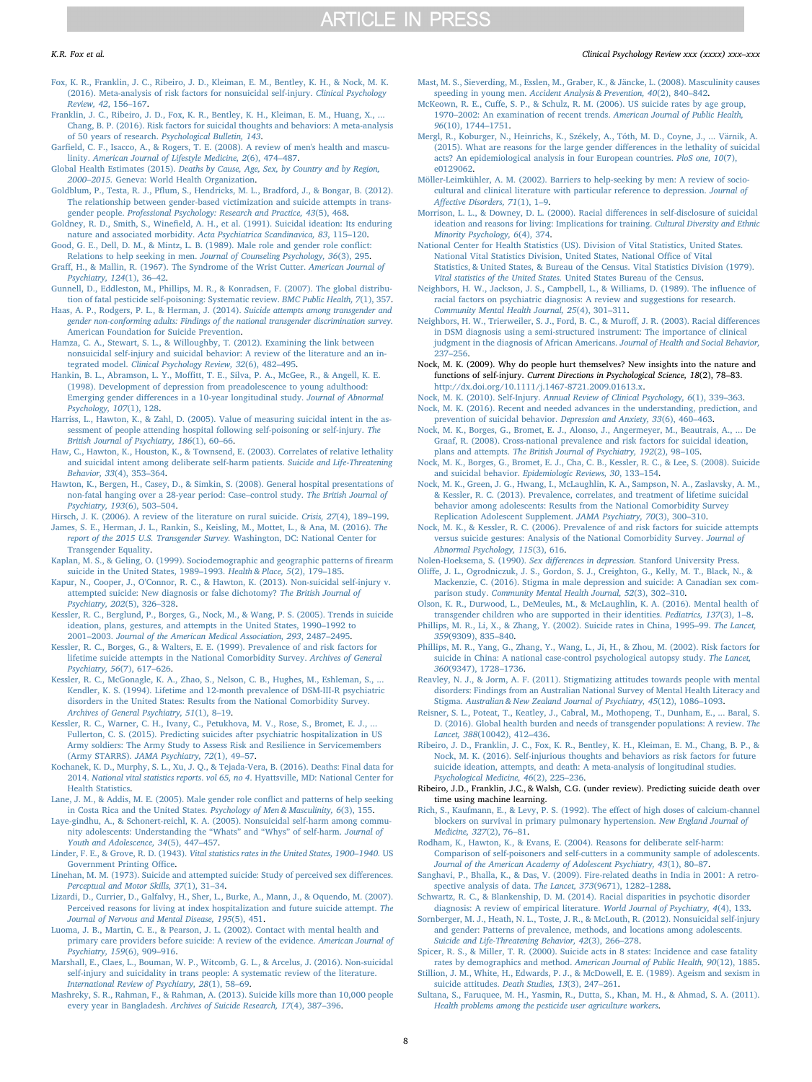- <span id="page-7-34"></span>[Fox, K. R., Franklin, J. C., Ribeiro, J. D., Kleiman, E. M., Bentley, K. H., & Nock, M. K.](http://refhub.elsevier.com/S0272-7358(17)30211-8/rf0125) [\(2016\). Meta-analysis of risk factors for nonsuicidal self-injury.](http://refhub.elsevier.com/S0272-7358(17)30211-8/rf0125) Clinical Psychology [Review, 42](http://refhub.elsevier.com/S0272-7358(17)30211-8/rf0125), 156–167.
- <span id="page-7-38"></span>Franklin, J. C., Ribeiro, J. D., Fox, K. R., Bentley, K. H., Kleiman, E. M., Huang, X., [Chang, B. P. \(2016\). Risk factors for suicidal thoughts and behaviors: A meta-analysis](http://refhub.elsevier.com/S0272-7358(17)30211-8/rf0130) of 50 years of research. [Psychological Bulletin, 143](http://refhub.elsevier.com/S0272-7358(17)30211-8/rf0130).
- <span id="page-7-17"></span>Garfi[eld, C. F., Isacco, A., & Rogers, T. E. \(2008\). A review of men's health and mascu](http://refhub.elsevier.com/S0272-7358(17)30211-8/rf0135)linity. [American Journal of Lifestyle Medicine, 2](http://refhub.elsevier.com/S0272-7358(17)30211-8/rf0135)(6), 474–487.

<span id="page-7-6"></span>Global Health Estimates (2015). [Deaths by Cause, Age, Sex, by Country and by Region,](http://refhub.elsevier.com/S0272-7358(17)30211-8/rf0140) 2000–2015. [Geneva: World Health Organization.](http://refhub.elsevier.com/S0272-7358(17)30211-8/rf0140)

Goldblum, P., Testa, R. J., Pfl[um, S., Hendricks, M. L., Bradford, J., & Bongar, B. \(2012\).](http://refhub.elsevier.com/S0272-7358(17)30211-8/rf0145) [The relationship between gender-based victimization and suicide attempts in trans](http://refhub.elsevier.com/S0272-7358(17)30211-8/rf0145)gender people. [Professional Psychology: Research and Practice, 43](http://refhub.elsevier.com/S0272-7358(17)30211-8/rf0145)(5), 468.

<span id="page-7-13"></span>Goldney, R. D., Smith, S., Winefi[eld, A. H., et al. \(1991\). Suicidal ideation: Its enduring](http://refhub.elsevier.com/S0272-7358(17)30211-8/rf0150) nature and associated morbidity. [Acta Psychiatrica Scandinavica, 83](http://refhub.elsevier.com/S0272-7358(17)30211-8/rf0150), 115–120.

- [Good, G. E., Dell, D. M., & Mintz, L. B. \(1989\). Male role and gender role con](http://refhub.elsevier.com/S0272-7358(17)30211-8/rf0155)flict: Relations to help seeking in men. [Journal of Counseling Psychology, 36](http://refhub.elsevier.com/S0272-7358(17)30211-8/rf0155)(3), 295. Graff[, H., & Mallin, R. \(1967\). The Syndrome of the Wrist Cutter.](http://refhub.elsevier.com/S0272-7358(17)30211-8/rf0160) American Journal of
- <span id="page-7-41"></span>[Psychiatry, 124](http://refhub.elsevier.com/S0272-7358(17)30211-8/rf0160)(1), 36–42. [Gunnell, D., Eddleston, M., Phillips, M. R., & Konradsen, F. \(2007\). The global distribu](http://refhub.elsevier.com/S0272-7358(17)30211-8/rf0165)[tion of fatal pesticide self-poisoning: Systematic review.](http://refhub.elsevier.com/S0272-7358(17)30211-8/rf0165) BMC Public Health, 7(1), 357.

<span id="page-7-31"></span>[Haas, A. P., Rodgers, P. L., & Herman, J. \(2014\).](http://refhub.elsevier.com/S0272-7358(17)30211-8/rf0170) Suicide attempts among transgender and [gender non-conforming adults: Findings of the national transgender discrimination survey.](http://refhub.elsevier.com/S0272-7358(17)30211-8/rf0170) [American Foundation for Suicide Prevention](http://refhub.elsevier.com/S0272-7358(17)30211-8/rf0170).

- <span id="page-7-32"></span>[Hamza, C. A., Stewart, S. L., & Willoughby, T. \(2012\). Examining the link between](http://refhub.elsevier.com/S0272-7358(17)30211-8/rf0175) [nonsuicidal self-injury and suicidal behavior: A review of the literature and an in](http://refhub.elsevier.com/S0272-7358(17)30211-8/rf0175)tegrated model. [Clinical Psychology Review, 32](http://refhub.elsevier.com/S0272-7358(17)30211-8/rf0175)(6), 482–495.
- <span id="page-7-21"></span>Hankin, B. L., Abramson, L. Y., Moffi[tt, T. E., Silva, P. A., McGee, R., & Angell, K. E.](http://refhub.elsevier.com/S0272-7358(17)30211-8/rf0180) [\(1998\). Development of depression from preadolescence to young adulthood:](http://refhub.elsevier.com/S0272-7358(17)30211-8/rf0180) Emerging gender diff[erences in a 10-year longitudinal study.](http://refhub.elsevier.com/S0272-7358(17)30211-8/rf0180) Journal of Abnormal [Psychology, 107](http://refhub.elsevier.com/S0272-7358(17)30211-8/rf0180)(1), 128.
- <span id="page-7-16"></span>[Harriss, L., Hawton, K., & Zahl, D. \(2005\). Value of measuring suicidal intent in the as](http://refhub.elsevier.com/S0272-7358(17)30211-8/rf0185)[sessment of people attending hospital following self-poisoning or self-injury.](http://refhub.elsevier.com/S0272-7358(17)30211-8/rf0185) The [British Journal of Psychiatry, 186](http://refhub.elsevier.com/S0272-7358(17)30211-8/rf0185)(1), 60–66.
- [Haw, C., Hawton, K., Houston, K., & Townsend, E. \(2003\). Correlates of relative lethality](http://refhub.elsevier.com/S0272-7358(17)30211-8/rf0190) [and suicidal intent among deliberate self](http://refhub.elsevier.com/S0272-7358(17)30211-8/rf0190)‐harm patients. Suicide and Life-Threatening [Behavior, 33](http://refhub.elsevier.com/S0272-7358(17)30211-8/rf0190)(4), 353–364.
- [Hawton, K., Bergen, H., Casey, D., & Simkin, S. \(2008\). General hospital presentations of](http://refhub.elsevier.com/S0272-7358(17)30211-8/rf0195) [non-fatal hanging over a 28-year period: Case](http://refhub.elsevier.com/S0272-7358(17)30211-8/rf0195)–control study. The British Journal of [Psychiatry, 193](http://refhub.elsevier.com/S0272-7358(17)30211-8/rf0195)(6), 503–504.
- <span id="page-7-10"></span>[Hirsch, J. K. \(2006\). A review of the literature on rural suicide.](http://refhub.elsevier.com/S0272-7358(17)30211-8/rf0200) Crisis, 27(4), 189–199.

<span id="page-7-27"></span>[James, S. E., Herman, J. L., Rankin, S., Keisling, M., Mottet, L., & Ana, M. \(2016\).](http://refhub.elsevier.com/S0272-7358(17)30211-8/rf0205) The [report of the 2015 U.S. Transgender Survey.](http://refhub.elsevier.com/S0272-7358(17)30211-8/rf0205) Washington, DC: National Center for [Transgender Equality](http://refhub.elsevier.com/S0272-7358(17)30211-8/rf0205).

- [Kaplan, M. S., & Geling, O. \(1999\). Sociodemographic and geographic patterns of](http://refhub.elsevier.com/S0272-7358(17)30211-8/rf0210) firearm [suicide in the United States, 1989](http://refhub.elsevier.com/S0272-7358(17)30211-8/rf0210)–1993. Health & Place, 5(2), 179–185.
- <span id="page-7-35"></span>[Kapur, N., Cooper, J., O'Connor, R. C., & Hawton, K. \(2013\). Non-suicidal self-injury v.](http://refhub.elsevier.com/S0272-7358(17)30211-8/rf0215) [attempted suicide: New diagnosis or false dichotomy?](http://refhub.elsevier.com/S0272-7358(17)30211-8/rf0215) The British Journal of [Psychiatry, 202](http://refhub.elsevier.com/S0272-7358(17)30211-8/rf0215)(5), 326–328.
- <span id="page-7-30"></span>[Kessler, R. C., Berglund, P., Borges, G., Nock, M., & Wang, P. S. \(2005\). Trends in suicide](http://refhub.elsevier.com/S0272-7358(17)30211-8/rf0220) [ideation, plans, gestures, and attempts in the United States, 1990](http://refhub.elsevier.com/S0272-7358(17)30211-8/rf0220)–1992 to 2001–2003. [Journal of the American Medical Association, 293](http://refhub.elsevier.com/S0272-7358(17)30211-8/rf0220), 2487–2495.
- <span id="page-7-22"></span>[Kessler, R. C., Borges, G., & Walters, E. E. \(1999\). Prevalence of and risk factors for](http://refhub.elsevier.com/S0272-7358(17)30211-8/rf0225) [lifetime suicide attempts in the National Comorbidity Survey.](http://refhub.elsevier.com/S0272-7358(17)30211-8/rf0225) Archives of General [Psychiatry, 56](http://refhub.elsevier.com/S0272-7358(17)30211-8/rf0225)(7), 617–626.
- <span id="page-7-20"></span>[Kessler, R. C., McGonagle, K. A., Zhao, S., Nelson, C. B., Hughes, M., Eshleman, S., ...](http://refhub.elsevier.com/S0272-7358(17)30211-8/rf0230) [Kendler, K. S. \(1994\). Lifetime and 12-month prevalence of DSM-III-R psychiatric](http://refhub.elsevier.com/S0272-7358(17)30211-8/rf0230) [disorders in the United States: Results from the National Comorbidity Survey.](http://refhub.elsevier.com/S0272-7358(17)30211-8/rf0230) [Archives of General Psychiatry, 51](http://refhub.elsevier.com/S0272-7358(17)30211-8/rf0230)(1), 8–19.
- <span id="page-7-40"></span>Kessler, R. C., Warner, C. H., Ivany, C., Petukhova, M. V., Rose, S., Bromet, E. J., [Fullerton, C. S. \(2015\). Predicting suicides after psychiatric hospitalization in US](http://refhub.elsevier.com/S0272-7358(17)30211-8/rf0235) [Army soldiers: The Army Study to Assess Risk and Resilience in Servicemembers](http://refhub.elsevier.com/S0272-7358(17)30211-8/rf0235) (Army STARRS). [JAMA Psychiatry, 72](http://refhub.elsevier.com/S0272-7358(17)30211-8/rf0235)(1), 49–57.
- [Kochanek, K. D., Murphy, S. L., Xu, J. Q., & Tejada-Vera, B. \(2016\). Deaths: Final data for](http://refhub.elsevier.com/S0272-7358(17)30211-8/rf0240) 2014. National vital statistics reports. vol 65, no 4[. Hyattsville, MD: National Center for](http://refhub.elsevier.com/S0272-7358(17)30211-8/rf0240) [Health Statistics](http://refhub.elsevier.com/S0272-7358(17)30211-8/rf0240).
- [Lane, J. M., & Addis, M. E. \(2005\). Male gender role con](http://refhub.elsevier.com/S0272-7358(17)30211-8/rf0245)flict and patterns of help seeking [in Costa Rica and the United States.](http://refhub.elsevier.com/S0272-7358(17)30211-8/rf0245) Psychology of Men & Masculinity, 6(3), 155.
- [Laye-gindhu, A., & Schonert-reichl, K. A. \(2005\). Nonsuicidal self-harm among commu](http://refhub.elsevier.com/S0272-7358(17)30211-8/rf0250)[nity adolescents: Understanding the](http://refhub.elsevier.com/S0272-7358(17)30211-8/rf0250) "Whats" and "Whys" of self-harm. Journal of [Youth and Adolescence, 34](http://refhub.elsevier.com/S0272-7358(17)30211-8/rf0250)(5), 447–457.
- Linder, F. E., & Grove, R. D. (1943). [Vital statistics rates in the United States, 1900](http://refhub.elsevier.com/S0272-7358(17)30211-8/rf0255)–1940. US [Government Printing O](http://refhub.elsevier.com/S0272-7358(17)30211-8/rf0255)ffice.
- <span id="page-7-24"></span>[Linehan, M. M. \(1973\). Suicide and attempted suicide: Study of perceived sex di](http://refhub.elsevier.com/S0272-7358(17)30211-8/rf0260)fferences. [Perceptual and Motor Skills, 37](http://refhub.elsevier.com/S0272-7358(17)30211-8/rf0260)(1), 31–34.
- <span id="page-7-4"></span>[Lizardi, D., Currier, D., Galfalvy, H., Sher, L., Burke, A., Mann, J., & Oquendo, M. \(2007\).](http://refhub.elsevier.com/S0272-7358(17)30211-8/rf0265) [Perceived reasons for living at index hospitalization and future suicide attempt.](http://refhub.elsevier.com/S0272-7358(17)30211-8/rf0265) The [Journal of Nervous and Mental Disease, 195](http://refhub.elsevier.com/S0272-7358(17)30211-8/rf0265)(5), 451.
- <span id="page-7-18"></span>[Luoma, J. B., Martin, C. E., & Pearson, J. L. \(2002\). Contact with mental health and](http://refhub.elsevier.com/S0272-7358(17)30211-8/rf0270) [primary care providers before suicide: A review of the evidence.](http://refhub.elsevier.com/S0272-7358(17)30211-8/rf0270) American Journal of [Psychiatry, 159](http://refhub.elsevier.com/S0272-7358(17)30211-8/rf0270)(6), 909–916.

<span id="page-7-29"></span>[Marshall, E., Claes, L., Bouman, W. P., Witcomb, G. L., & Arcelus, J. \(2016\). Non-suicidal](http://refhub.elsevier.com/S0272-7358(17)30211-8/rf0275) [self-injury and suicidality in trans people: A systematic review of the literature.](http://refhub.elsevier.com/S0272-7358(17)30211-8/rf0275) [International Review of Psychiatry, 28](http://refhub.elsevier.com/S0272-7358(17)30211-8/rf0275)(1), 58–69.

<span id="page-7-7"></span>[Mashreky, S. R., Rahman, F., & Rahman, A. \(2013\). Suicide kills more than 10,000 people](http://refhub.elsevier.com/S0272-7358(17)30211-8/rf0280) every year in Bangladesh. [Archives of Suicide Research, 17](http://refhub.elsevier.com/S0272-7358(17)30211-8/rf0280)(4), 387–396.

### K.R. Fox et al. *Clinical Psychology Review xxx (xxxx) xxx–xxx*

- <span id="page-7-37"></span>[Mast, M. S., Sieverding, M., Esslen, M., Graber, K., & Jäncke, L. \(2008\). Masculinity causes](http://refhub.elsevier.com/S0272-7358(17)30211-8/rf0285) speeding in young men. [Accident Analysis & Prevention, 40](http://refhub.elsevier.com/S0272-7358(17)30211-8/rf0285)(2), 840–842.
- <span id="page-7-2"></span>McKeown, R. E., Cuff[e, S. P., & Schulz, R. M. \(2006\). US suicide rates by age group,](http://refhub.elsevier.com/S0272-7358(17)30211-8/rf0290) 1970–[2002: An examination of recent trends.](http://refhub.elsevier.com/S0272-7358(17)30211-8/rf0290) American Journal of Public Health, 96[\(10\), 1744](http://refhub.elsevier.com/S0272-7358(17)30211-8/rf0290)–1751.
- <span id="page-7-15"></span>[Mergl, R., Koburger, N., Heinrichs, K., Székely, A., Tóth, M. D., Coyne, J., ... Värnik, A.](http://refhub.elsevier.com/S0272-7358(17)30211-8/rf0295) [\(2015\). What are reasons for the large gender di](http://refhub.elsevier.com/S0272-7358(17)30211-8/rf0295)fferences in the lethality of suicidal [acts? An epidemiological analysis in four European countries.](http://refhub.elsevier.com/S0272-7358(17)30211-8/rf0295) PloS one, 10(7), [e0129062.](http://refhub.elsevier.com/S0272-7358(17)30211-8/rf0295)
- [Möller-Leimkühler, A. M. \(2002\). Barriers to help-seeking by men: A review of socio](http://refhub.elsevier.com/S0272-7358(17)30211-8/rf0300)[cultural and clinical literature with particular reference to depression.](http://refhub.elsevier.com/S0272-7358(17)30211-8/rf0300) Journal of Aff[ective Disorders, 71](http://refhub.elsevier.com/S0272-7358(17)30211-8/rf0300)(1), 1–9.
- <span id="page-7-3"></span>[Morrison, L. L., & Downey, D. L. \(2000\). Racial di](http://refhub.elsevier.com/S0272-7358(17)30211-8/rf0305)fferences in self-disclosure of suicidal [ideation and reasons for living: Implications for training.](http://refhub.elsevier.com/S0272-7358(17)30211-8/rf0305) Cultural Diversity and Ethnic [Minority Psychology, 6](http://refhub.elsevier.com/S0272-7358(17)30211-8/rf0305)(4), 374.
- National [Center for Health Statistics \(US\). Division of Vital Statistics, United States.](http://refhub.elsevier.com/S0272-7358(17)30211-8/rf0310) [National Vital Statistics Division, United States, National O](http://refhub.elsevier.com/S0272-7358(17)30211-8/rf0310)ffice of Vital [Statistics, & United States, & Bureau of the Census. Vital Statistics Division \(1979\).](http://refhub.elsevier.com/S0272-7358(17)30211-8/rf0310) Vital statistics of the United States. [United States Bureau of the Census.](http://refhub.elsevier.com/S0272-7358(17)30211-8/rf0310)
- <span id="page-7-5"></span>[Neighbors, H. W., Jackson, J. S., Campbell, L., & Williams, D. \(1989\). The in](http://refhub.elsevier.com/S0272-7358(17)30211-8/rf0315)fluence of [racial factors on psychiatric diagnosis: A review and suggestions for research.](http://refhub.elsevier.com/S0272-7358(17)30211-8/rf0315) [Community Mental Health Journal, 25](http://refhub.elsevier.com/S0272-7358(17)30211-8/rf0315)(4), 301–311.
- [Neighbors, H. W., Trierweiler, S. J., Ford, B. C., & Muro](http://refhub.elsevier.com/S0272-7358(17)30211-8/rf0320)ff, J. R. (2003). Racial differences [in DSM diagnosis using a semi-structured instrument: The importance of clinical](http://refhub.elsevier.com/S0272-7358(17)30211-8/rf0320) [judgment in the diagnosis of African Americans.](http://refhub.elsevier.com/S0272-7358(17)30211-8/rf0320) Journal of Health and Social Behavior,  $237 - 256$  $237 - 256$
- <span id="page-7-36"></span>Nock, M. K. (2009). Why do people hurt themselves? New insights into the nature and functions of self-injury. Current Directions in Psychological Science, 18(2), 78–83. [http://dx.doi.org/10.1111/j.1467-8721.2009.01613.x.](http://dx.doi.org/10.1111/j.1467-8721.2009.01613.x)

<span id="page-7-0"></span>Nock, M. K. (2010). Self-Injury. [Annual Review of Clinical Psychology, 6](http://refhub.elsevier.com/S0272-7358(17)30211-8/rf0330)(1), 339–363.

- <span id="page-7-39"></span>[Nock, M. K. \(2016\). Recent and needed advances in the understanding, prediction, and](http://refhub.elsevier.com/S0272-7358(17)30211-8/rf0335) [prevention of suicidal behavior.](http://refhub.elsevier.com/S0272-7358(17)30211-8/rf0335) Depression and Anxiety, 33(6), 460–463.
- <span id="page-7-11"></span>[Nock, M. K., Borges, G., Bromet, E. J., Alonso, J., Angermeyer, M., Beautrais, A., ... De](http://refhub.elsevier.com/S0272-7358(17)30211-8/rf0340) [Graaf, R. \(2008\). Cross-national prevalence and risk factors for suicidal ideation,](http://refhub.elsevier.com/S0272-7358(17)30211-8/rf0340) plans and attempts. [The British Journal of Psychiatry, 192](http://refhub.elsevier.com/S0272-7358(17)30211-8/rf0340)(2), 98–105.
- <span id="page-7-1"></span>[Nock, M. K., Borges, G., Bromet, E. J., Cha, C. B., Kessler, R. C., & Lee, S. \(2008\). Suicide](http://refhub.elsevier.com/S0272-7358(17)30211-8/rf0345) and suicidal behavior. [Epidemiologic Reviews, 30](http://refhub.elsevier.com/S0272-7358(17)30211-8/rf0345), 133–154.
- <span id="page-7-12"></span>[Nock, M. K., Green, J. G., Hwang, I., McLaughlin, K. A., Sampson, N. A., Zaslavsky, A. M.,](http://refhub.elsevier.com/S0272-7358(17)30211-8/rf0350) [& Kessler, R. C. \(2013\). Prevalence, correlates, and treatment of lifetime suicidal](http://refhub.elsevier.com/S0272-7358(17)30211-8/rf0350) [behavior among adolescents: Results from the National Comorbidity Survey](http://refhub.elsevier.com/S0272-7358(17)30211-8/rf0350) [Replication Adolescent Supplement.](http://refhub.elsevier.com/S0272-7358(17)30211-8/rf0350) JAMA Psychiatry, 70(3), 300–310.
- [Nock, M. K., & Kessler, R. C. \(2006\). Prevalence of and risk factors for suicide attempts](http://refhub.elsevier.com/S0272-7358(17)30211-8/rf0355) [versus suicide gestures: Analysis of the National Comorbidity Survey.](http://refhub.elsevier.com/S0272-7358(17)30211-8/rf0355) Journal of [Abnormal Psychology, 115](http://refhub.elsevier.com/S0272-7358(17)30211-8/rf0355)(3), 616.
- <span id="page-7-19"></span>[Nolen-Hoeksema, S. \(1990\).](http://refhub.elsevier.com/S0272-7358(17)30211-8/rf0360) Sex differences in depression. Stanford University Press.
- <span id="page-7-23"></span>Oliff[e, J. L., Ogrodniczuk, J. S., Gordon, S. J., Creighton, G., Kelly, M. T., Black, N., &](http://refhub.elsevier.com/S0272-7358(17)30211-8/rf0365) [Mackenzie, C. \(2016\). Stigma in male depression and suicide: A Canadian sex com](http://refhub.elsevier.com/S0272-7358(17)30211-8/rf0365)parison study. [Community Mental Health Journal, 52](http://refhub.elsevier.com/S0272-7358(17)30211-8/rf0365)(3), 302–310.
- [Olson, K. R., Durwood, L., DeMeules, M., & McLaughlin, K. A. \(2016\). Mental health of](http://refhub.elsevier.com/S0272-7358(17)30211-8/rf0370) [transgender children who are supported in their identities.](http://refhub.elsevier.com/S0272-7358(17)30211-8/rf0370) Pediatrics, 137(3), 1–8.
- <span id="page-7-9"></span>Phillips, [M. R., Li, X., & Zhang, Y. \(2002\). Suicide rates in China, 1995](http://refhub.elsevier.com/S0272-7358(17)30211-8/rf0375)–99. The Lancet, 359[\(9309\), 835](http://refhub.elsevier.com/S0272-7358(17)30211-8/rf0375)–840.
- [Phillips, M. R., Yang, G., Zhang, Y., Wang, L., Ji, H., & Zhou, M. \(2002\). Risk factors for](http://refhub.elsevier.com/S0272-7358(17)30211-8/rf0380) [suicide in China: A national case-control psychological autopsy study.](http://refhub.elsevier.com/S0272-7358(17)30211-8/rf0380) The Lancet, 360[\(9347\), 1728](http://refhub.elsevier.com/S0272-7358(17)30211-8/rf0380)–1736.
- [Reavley, N. J., & Jorm, A. F. \(2011\). Stigmatizing attitudes towards people with mental](http://refhub.elsevier.com/S0272-7358(17)30211-8/rf0385) [disorders: Findings from an Australian National Survey of Mental Health Literacy and](http://refhub.elsevier.com/S0272-7358(17)30211-8/rf0385) Stigma. [Australian & New Zealand Journal of Psychiatry, 45](http://refhub.elsevier.com/S0272-7358(17)30211-8/rf0385)(12), 1086–1093.
- <span id="page-7-28"></span>[Reisner, S. L., Poteat, T., Keatley, J., Cabral, M., Mothopeng, T., Dunham, E., ... Baral, S.](http://refhub.elsevier.com/S0272-7358(17)30211-8/rf0390) [D. \(2016\). Global health burden and needs of transgender populations: A review.](http://refhub.elsevier.com/S0272-7358(17)30211-8/rf0390) The Lancet, 388[\(10042\), 412](http://refhub.elsevier.com/S0272-7358(17)30211-8/rf0390)–436.
- <span id="page-7-33"></span>[Ribeiro, J. D., Franklin, J. C., Fox, K. R., Bentley, K. H., Kleiman, E. M., Chang, B. P., &](http://refhub.elsevier.com/S0272-7358(17)30211-8/rf0395) [Nock, M. K. \(2016\). Self-injurious thoughts and behaviors as risk factors for future](http://refhub.elsevier.com/S0272-7358(17)30211-8/rf0395) [suicide ideation, attempts, and death: A meta-analysis of longitudinal studies.](http://refhub.elsevier.com/S0272-7358(17)30211-8/rf0395) [Psychological Medicine, 46](http://refhub.elsevier.com/S0272-7358(17)30211-8/rf0395)(2), 225–236.
- Ribeiro, J.D., Franklin, J.C., & Walsh, C.G. (under review). Predicting suicide death over time using machine learning.
- <span id="page-7-26"></span>[Rich, S., Kaufmann, E., & Levy, P. S. \(1992\). The e](http://refhub.elsevier.com/S0272-7358(17)30211-8/rf0400)ffect of high doses of calcium-channel [blockers on survival in primary pulmonary hypertension.](http://refhub.elsevier.com/S0272-7358(17)30211-8/rf0400) New England Journal of [Medicine, 327](http://refhub.elsevier.com/S0272-7358(17)30211-8/rf0400)(2), 76–81.
- [Rodham, K., Hawton, K., & Evans, E. \(2004\). Reasons for deliberate self-harm:](http://refhub.elsevier.com/S0272-7358(17)30211-8/rf0405) [Comparison of self-poisoners and self-cutters in a community sample of adolescents.](http://refhub.elsevier.com/S0272-7358(17)30211-8/rf0405) [Journal of the American Academy of Adolescent Psychiatry, 43](http://refhub.elsevier.com/S0272-7358(17)30211-8/rf0405)(1), 80–87.
- [Sanghavi, P., Bhalla, K., & Das, V. \(2009\). Fire-related deaths in India in 2001: A retro](http://refhub.elsevier.com/S0272-7358(17)30211-8/rf0410)[spective analysis of data.](http://refhub.elsevier.com/S0272-7358(17)30211-8/rf0410) The Lancet, 373(9671), 1282-1288.
- [Schwartz, R. C., & Blankenship, D. M. \(2014\). Racial disparities in psychotic disorder](http://refhub.elsevier.com/S0272-7358(17)30211-8/rf0415) [diagnosis: A review of empirical literature.](http://refhub.elsevier.com/S0272-7358(17)30211-8/rf0415) World Journal of Psychiatry, 4(4), 133.
- <span id="page-7-14"></span>[Sornberger, M. J., Heath, N. L., Toste, J. R., & McLouth, R. \(2012\). Nonsuicidal self](http://refhub.elsevier.com/S0272-7358(17)30211-8/rf0420)‐injury [and gender: Patterns of prevalence, methods, and locations among adolescents.](http://refhub.elsevier.com/S0272-7358(17)30211-8/rf0420) [Suicide and Life-Threatening Behavior, 42](http://refhub.elsevier.com/S0272-7358(17)30211-8/rf0420)(3), 266–278.

[Spicer, R. S., & Miller, T. R. \(2000\). Suicide acts in 8 states: Incidence and case fatality](http://refhub.elsevier.com/S0272-7358(17)30211-8/rf0425) rates by demographics and method. [American Journal of Public Health, 90](http://refhub.elsevier.com/S0272-7358(17)30211-8/rf0425)(12), 1885.

<span id="page-7-25"></span>[Stillion, J. M., White, H., Edwards, P. J., & McDowell, E. E. \(1989\). Ageism and sexism in](http://refhub.elsevier.com/S0272-7358(17)30211-8/rf0430) [suicide attitudes.](http://refhub.elsevier.com/S0272-7358(17)30211-8/rf0430) Death Studies, 13(3), 247–261.

<span id="page-7-8"></span>[Sultana, S., Faruquee, M. H., Yasmin, R., Dutta, S., Khan, M. H., & Ahmad, S. A. \(2011\).](http://refhub.elsevier.com/S0272-7358(17)30211-8/rf0435) [Health problems among the pesticide user agriculture workers](http://refhub.elsevier.com/S0272-7358(17)30211-8/rf0435).